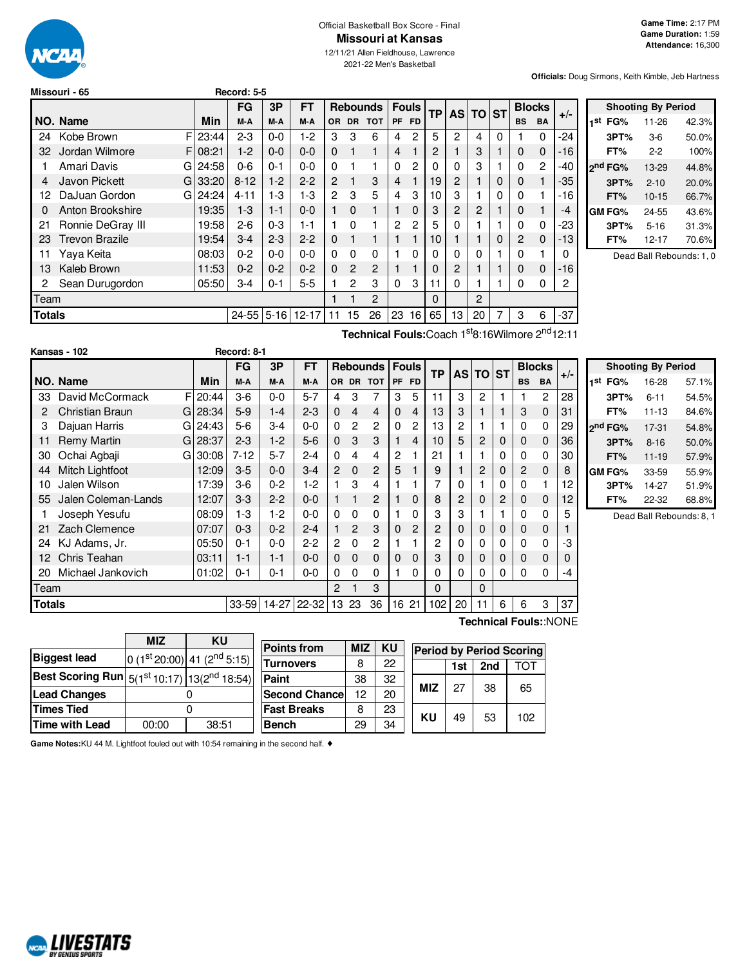

#### Official Basketball Box Score - Final **Missouri at Kansas**

12/11/21 Allen Fieldhouse, Lawrence 2021-22 Men's Basketball

**Officials:** Doug Sirmons, Keith Kimble, Jeb Hartness

| Missouri - 65         |       |                                        |         |           |                |                |            |                 |             |              |           |                |   |           |                |               |       |
|-----------------------|-------|----------------------------------------|---------|-----------|----------------|----------------|------------|-----------------|-------------|--------------|-----------|----------------|---|-----------|----------------|---------------|-------|
|                       |       | <b>FG</b>                              | 3P      | <b>FT</b> |                |                |            |                 |             |              |           |                |   |           |                |               |       |
| NO. Name              | Min   | M-A                                    | M-A     | M-A       | OR.            | DR.            | <b>TOT</b> | <b>PF</b>       | <b>FD</b>   |              |           |                |   | <b>BS</b> | <b>BA</b>      |               |       |
| F<br>Kobe Brown       | 23:44 | $2 - 3$                                | $0-0$   | $1 - 2$   | 3              | 3              | 6          | 4               | 2           | 5            | 2         | 4              | 0 |           | 0              | -24           |       |
| Jordan Wilmore        |       | $1-2$                                  | $0 - 0$ | $0 - 0$   | $\mathbf 0$    |                |            | 4               |             | 2            |           | 3              |   | 0         | 0              | $-16$         |       |
| Amari Davis           | 24:58 | $0 - 6$                                | $0 - 1$ | 0-0       | $\Omega$       |                |            | 0               | 2           |              | 0         | 3              |   | 0         | $\overline{2}$ | -40           |       |
| Javon Pickett         |       | $8 - 12$                               | $1-2$   | $2 - 2$   | $\overline{2}$ |                | 3          | 4               |             | 19           | 2         |                | 0 | 0         | $\mathbf{1}$   | -35           |       |
| DaJuan Gordon         |       | 4-11                                   | 1-3     | $1-3$     | 2              | 3              | 5          | 4               | 3           | 10           | З         |                | 0 | 0         | 1              | -16           |       |
| Anton Brookshire      | 19:35 | $1-3$                                  | $1 - 1$ | $0 - 0$   |                | $\Omega$       |            |                 | 0           | 3            | 2         | 2              |   | 0         |                | $-4$          |       |
| Ronnie DeGray III     | 19:58 | $2-6$                                  | $0 - 3$ | $1 - 1$   |                | $\Omega$       |            | 2               | 2           | 5            | 0         |                |   | 0         | 0              | -23           |       |
| <b>Trevon Brazile</b> | 19:54 | $3-4$                                  | $2 - 3$ | $2 - 2$   | $\mathbf 0$    |                |            |                 |             | 10           |           |                | 0 | 2         | 0              | -13           |       |
| Yava Keita            | 08:03 | $0 - 2$                                | $0-0$   | $0 - 0$   | 0              | $\Omega$       | 0          |                 | 0           |              | 0         | 0              |   | 0         | 1              | 0             |       |
| Kaleb Brown           | 11:53 | $0 - 2$                                | $0 - 2$ | $0 - 2$   | $\Omega$       | $\overline{c}$ | 2          |                 |             | 0            | 2         |                |   | 0         | 0              | -16           |       |
| Sean Durugordon       | 05:50 | $3 - 4$                                | $0 - 1$ | $5 - 5$   |                | 2              | 3          | $\Omega$        | 3           | 11           | 0         |                |   | 0         | 0              | 2             |       |
| Team                  |       |                                        |         |           |                |                | 2          |                 |             | $\Omega$     |           | $\overline{2}$ |   |           |                |               |       |
| <b>Totals</b>         |       | 24-55                                  |         | $12 - 17$ | 11             | 15             | 26         | 23              | 16          | 65           | 13        | 20             |   | 3         | 6              | -37           |       |
|                       |       | F108:21<br>GI<br>$G$ 33:20<br>GI 24:24 |         |           | $5 - 16$       |                |            | <b>Rebounds</b> | Record: 5-5 | <b>Fouls</b> | <b>TP</b> | <b>AS</b>      |   | TO ST     |                | <b>Blocks</b> | $+/-$ |

**Shooting By Period 1 st FG%** 11-26 42.3% **3PT%** 3-6 50.0% **FT%** 2-2 100% **2 nd FG%** 13-29 44.8% **3PT%** 2-10 20.0% **FT%** 10-15 66.7% **GM FG%** 24-55 43.6% **3PT%** 5-16 31.3% **FT%** 12-17 70.6%

Dead Ball Rebounds: 1, 0

| Technical Fouls: Coach 1 <sup>st</sup> 8:16Wilmore 2 <sup>nd</sup> 12:11 |  |
|--------------------------------------------------------------------------|--|
|--------------------------------------------------------------------------|--|

|               | Kansas - 102           |   |             | Record: 8-1 |             |         |                |                |           |              |                |           |                |              |              |           |               |       |                     |                           |    |
|---------------|------------------------|---|-------------|-------------|-------------|---------|----------------|----------------|-----------|--------------|----------------|-----------|----------------|--------------|--------------|-----------|---------------|-------|---------------------|---------------------------|----|
|               |                        |   |             | <b>FG</b>   | 3P          | FT      |                |                | Rebounds  |              | <b>Fouls</b>   | <b>TP</b> |                | AS TO ST     |              |           | <b>Blocks</b> | $+/-$ |                     | <b>Shooting By Period</b> |    |
|               | <b>NO. Name</b>        |   | Min         | M-A         | M-A         | M-A     |                |                | OR DR TOT |              | PF FD          |           |                |              |              | <b>BS</b> | <b>BA</b>     |       | 1 <sup>st</sup> FG% | 16-28                     | 57 |
| 33            | David McCormack        |   | $F$   20:44 | $3-6$       | $0 - 0$     | $5 - 7$ | 4              | 3              |           | 3            | 5              |           | 3              | 2            |              |           | 2             | 28    | 3PT%                | $6 - 11$                  | 54 |
|               | <b>Christian Braun</b> |   | $G$   28:34 | $5-9$       | $1 - 4$     | $2 - 3$ | $\Omega$       | 4              | 4         | $\mathbf{0}$ | $\overline{4}$ | 13        | 3              |              |              | 3         | $\mathbf{0}$  | 31    | FT%                 | $11 - 13$                 | 84 |
| З             | Dajuan Harris          |   | $G$   24:43 | $5-6$       | $3-4$       | $0 - 0$ | 0              | 2              | 2         | 0            | 2              | 13        | 2              |              |              | 0         | 0             | 29    | 2 <sup>nd</sup> FG% | $17-31$                   | 54 |
| 11            | Remy Martin            |   | $G$   28:37 | $2 - 3$     | $1-2$       | $5-6$   | $\Omega$       | 3              | 3         |              | 4              | 10        | 5              | 2            | 0            | 0         | $\mathbf{0}$  | 36    | 3PT%                | $8 - 16$                  | 50 |
| 30            | Ochai Agbaji           | G | 30:08       | $7 - 12$    | $5 - 7$     | $2 - 4$ | $\Omega$       | 4              | 4         | 2            |                | 21        |                |              | 0            | 0         | $\Omega$      | 30    | FT%                 | $11 - 19$                 | 57 |
| 44            | Mitch Lightfoot        |   | 12:09       | $3-5$       | $0-0$       | $3-4$   | $\overline{2}$ | $\Omega$       | 2         | 5            |                | 9         |                | 2            | 0            | 2         | $\mathbf{0}$  | 8     | GM FG%              | 33-59                     | 55 |
| 10            | Jalen Wilson           |   | 17:39       | $3-6$       | $0 - 2$     | 1-2     |                | 3              | 4         |              |                |           | 0              |              | 0            | 0         |               | 12    | 3PT%                | 14-27                     | 51 |
| 55            | Jalen Coleman-Lands    |   | 12:07       | $3-3$       | $2 - 2$     | $0 - 0$ |                |                | 2         |              | 0              | 8         | $\overline{c}$ | 0            | 2            | 0         | 0             | 12    | FT%                 | 22-32                     | 68 |
|               | Joseph Yesufu          |   | 08:09       | $1 - 3$     | 1-2         | $0-0$   | 0              | 0              | 0         |              | 0              | 3         | 3              |              |              | 0         | 0             | 5     |                     | Dead Ball Rebounds        |    |
| 21            | Zach Clemence          |   | 07:07       | $0 - 3$     | $0 - 2$     | $2 - 4$ |                | 2              | 3         | $\mathbf{0}$ | 2              | 2         | 0              | 0            | $\mathbf{0}$ | 0         | 0             |       |                     |                           |    |
| 24            | KJ Adams, Jr.          |   | 05:50       | $0 - 1$     | $0-0$       | $2 - 2$ | 2              | 0              | 2         |              |                | 2         | 0              | 0            | 0            | 0         | 0             | -3    |                     |                           |    |
| 12            | Chris Teahan           |   | 03:11       | $1 - 1$     | $1 - 1$     | $0 - 0$ | $\mathbf{0}$   | $\overline{0}$ | 0         | $\mathbf{0}$ | $\mathbf 0$    | 3         | 0              | 0            | 0            | 0         | 0             | 0     |                     |                           |    |
| 20            | Michael Jankovich      |   | 01:02       | $0 - 1$     | $0 - 1$     | 0-0     | 0              | $\Omega$       | 0         |              | 0              |           | 0              |              | 0            | $\Omega$  | 0             | -4    |                     |                           |    |
| Team          |                        |   |             |             |             |         | 2              |                | 3         |              |                | $\Omega$  |                | $\mathbf{0}$ |              |           |               |       |                     |                           |    |
| <b>Totals</b> |                        |   |             |             | 33-59 14-27 | 22-32   |                | 13 23          | 36        |              | 16 21          | 102       | 20             | 11           | 6            | 6         | 3             | 37    |                     |                           |    |

**st FG%** 16-28 57.1% **3PT%** 6-11 54.5% **FT%** 11-13 84.6% **nd FG%** 17-31 54.8% **3PT%** 8-16 50.0% **FT%** 11-19 57.9% **GM FG%** 33-59 55.9% **3PT%** 14-27 51.9% **FT%** 22-32 68.8%

Dead Ball Rebounds: 8, 1

**Technical Fouls:**:NONE

|                                                     | MIZ   | KU                          |  |
|-----------------------------------------------------|-------|-----------------------------|--|
| <b>Biggest lead</b>                                 |       | $0(1st 20:00) 41(2nd 5:15)$ |  |
| Best Scoring Run $5(1^{st}10.17)$ $13(2^{nd}18.54)$ |       |                             |  |
| <b>Lead Changes</b>                                 |       |                             |  |
| <b>Times Tied</b>                                   |       |                             |  |
| Time with Lead                                      | 00:00 | 38:51                       |  |
|                                                     |       |                             |  |

| <b>Points from</b>   | <b>MIZ</b> | <b>KU</b> |            |     |     | <b>Period by Period Scoring</b> |
|----------------------|------------|-----------|------------|-----|-----|---------------------------------|
| Turnovers            | 8          | 22        |            | 1st | 2nd | TOT                             |
| Paint                | 38         | 32        |            |     |     |                                 |
| <b>Second Chance</b> | 12         | 20        | <b>MIZ</b> | 27  | 38  | 65                              |
| <b>Fast Breaks</b>   | 8          | 23        |            |     |     |                                 |
| <b>Bench</b>         | 29         | 34        | KU         | 49  | 53  | 102                             |

**Game Notes:**KU 44 M. Lightfoot fouled out with 10:54 remaining in the second half. ♦

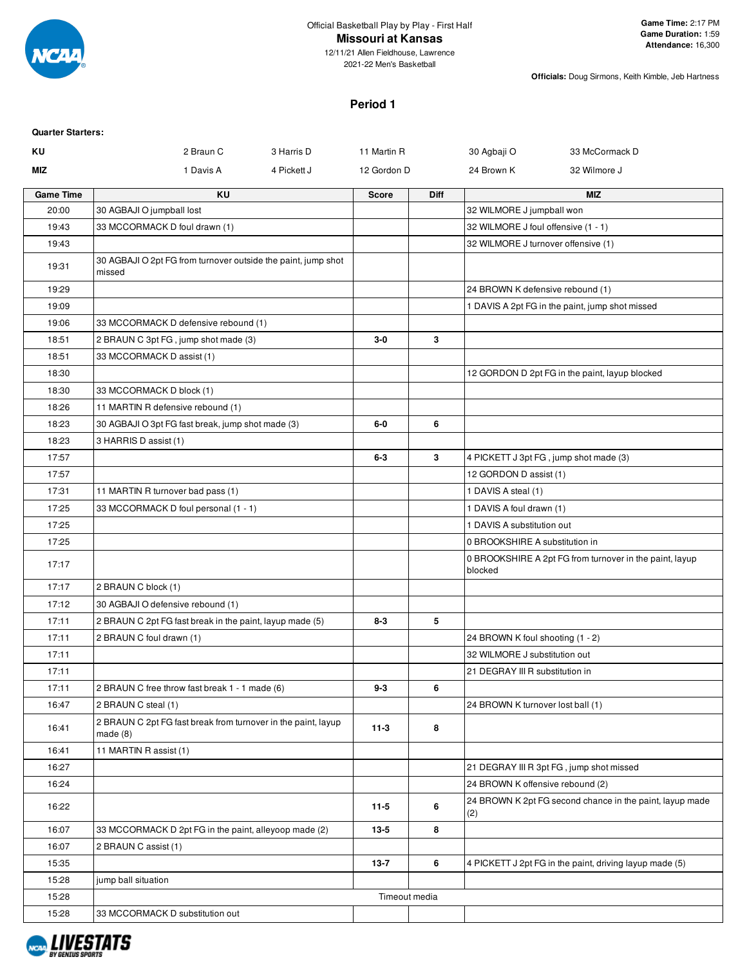

12/11/21 Allen Fieldhouse, Lawrence 2021-22 Men's Basketball

**Officials:** Doug Sirmons, Keith Kimble, Jeb Hartness

# **Period 1**

| <b>Quarter Starters:</b> |                                                                          |             |               |             |                                        |                                                          |
|--------------------------|--------------------------------------------------------------------------|-------------|---------------|-------------|----------------------------------------|----------------------------------------------------------|
| ΚU                       | 2 Braun C                                                                | 3 Harris D  | 11 Martin R   |             | 30 Agbaji O                            | 33 McCormack D                                           |
| <b>MIZ</b>               | 1 Davis A                                                                | 4 Pickett J | 12 Gordon D   |             | 24 Brown K                             | 32 Wilmore J                                             |
| <b>Game Time</b>         | KU                                                                       |             | <b>Score</b>  | <b>Diff</b> |                                        | <b>MIZ</b>                                               |
| 20:00                    | 30 AGBAJI O jumpball lost                                                |             |               |             | 32 WILMORE J jumpball won              |                                                          |
| 19:43                    | 33 MCCORMACK D foul drawn (1)                                            |             |               |             | 32 WILMORE J foul offensive (1 - 1)    |                                                          |
| 19:43                    |                                                                          |             |               |             | 32 WILMORE J turnover offensive (1)    |                                                          |
| 19:31                    | 30 AGBAJI O 2pt FG from turnover outside the paint, jump shot<br>missed  |             |               |             |                                        |                                                          |
| 19:29                    |                                                                          |             |               |             | 24 BROWN K defensive rebound (1)       |                                                          |
| 19:09                    |                                                                          |             |               |             |                                        | 1 DAVIS A 2pt FG in the paint, jump shot missed          |
| 19:06                    | 33 MCCORMACK D defensive rebound (1)                                     |             |               |             |                                        |                                                          |
| 18:51                    | 2 BRAUN C 3pt FG, jump shot made (3)                                     |             | $3-0$         | 3           |                                        |                                                          |
| 18:51                    | 33 MCCORMACK D assist (1)                                                |             |               |             |                                        |                                                          |
| 18:30                    |                                                                          |             |               |             |                                        | 12 GORDON D 2pt FG in the paint, layup blocked           |
| 18:30                    | 33 MCCORMACK D block (1)                                                 |             |               |             |                                        |                                                          |
| 18:26                    | 11 MARTIN R defensive rebound (1)                                        |             |               |             |                                        |                                                          |
| 18:23                    | 30 AGBAJI O 3pt FG fast break, jump shot made (3)                        |             | 6-0           | 6           |                                        |                                                          |
| 18:23                    | 3 HARRIS D assist (1)                                                    |             |               |             |                                        |                                                          |
| 17:57                    |                                                                          |             | $6 - 3$       | 3           | 4 PICKETT J 3pt FG, jump shot made (3) |                                                          |
| 17:57                    |                                                                          |             |               |             | 12 GORDON D assist (1)                 |                                                          |
| 17:31                    | 11 MARTIN R turnover bad pass (1)                                        |             |               |             | 1 DAVIS A steal (1)                    |                                                          |
| 17:25                    | 33 MCCORMACK D foul personal (1 - 1)                                     |             |               |             | 1 DAVIS A foul drawn (1)               |                                                          |
| 17:25                    |                                                                          |             |               |             | 1 DAVIS A substitution out             |                                                          |
| 17:25                    |                                                                          |             |               |             | 0 BROOKSHIRE A substitution in         |                                                          |
| 17:17                    |                                                                          |             |               |             | blocked                                | 0 BROOKSHIRE A 2pt FG from turnover in the paint, layup  |
| 17:17                    | 2 BRAUN C block (1)                                                      |             |               |             |                                        |                                                          |
| 17:12                    | 30 AGBAJI O defensive rebound (1)                                        |             |               |             |                                        |                                                          |
| 17:11                    | 2 BRAUN C 2pt FG fast break in the paint, layup made (5)                 |             | $8 - 3$       | 5           |                                        |                                                          |
| 17:11                    | 2 BRAUN C foul drawn (1)                                                 |             |               |             | 24 BROWN K foul shooting (1 - 2)       |                                                          |
| 17:11                    |                                                                          |             |               |             | 32 WILMORE J substitution out          |                                                          |
| 17:11                    |                                                                          |             |               |             | 21 DEGRAY III R substitution in        |                                                          |
| 17:11                    | 2 BRAUN C free throw fast break 1 - 1 made (6)                           |             | $9 - 3$       | 6           |                                        |                                                          |
| 16:47                    | 2 BRAUN C steal (1)                                                      |             |               |             | 24 BROWN K turnover lost ball (1)      |                                                          |
| 16:41                    | 2 BRAUN C 2pt FG fast break from turnover in the paint, layup<br>made(8) |             | $11-3$        | 8           |                                        |                                                          |
| 16:41                    | 11 MARTIN R assist (1)                                                   |             |               |             |                                        |                                                          |
| 16:27                    |                                                                          |             |               |             |                                        | 21 DEGRAY III R 3pt FG, jump shot missed                 |
| 16:24                    |                                                                          |             |               |             | 24 BROWN K offensive rebound (2)       |                                                          |
| 16:22                    |                                                                          |             | $11-5$        | 6           | (2)                                    | 24 BROWN K 2pt FG second chance in the paint, layup made |
| 16:07                    | 33 MCCORMACK D 2pt FG in the paint, alleyoop made (2)                    |             | $13 - 5$      | 8           |                                        |                                                          |
| 16:07                    | 2 BRAUN C assist (1)                                                     |             |               |             |                                        |                                                          |
| 15:35                    |                                                                          |             | $13 - 7$      | 6           |                                        | 4 PICKETT J 2pt FG in the paint, driving layup made (5)  |
| 15:28                    | jump ball situation                                                      |             |               |             |                                        |                                                          |
| 15:28                    |                                                                          |             | Timeout media |             |                                        |                                                          |
| 15:28                    | 33 MCCORMACK D substitution out                                          |             |               |             |                                        |                                                          |

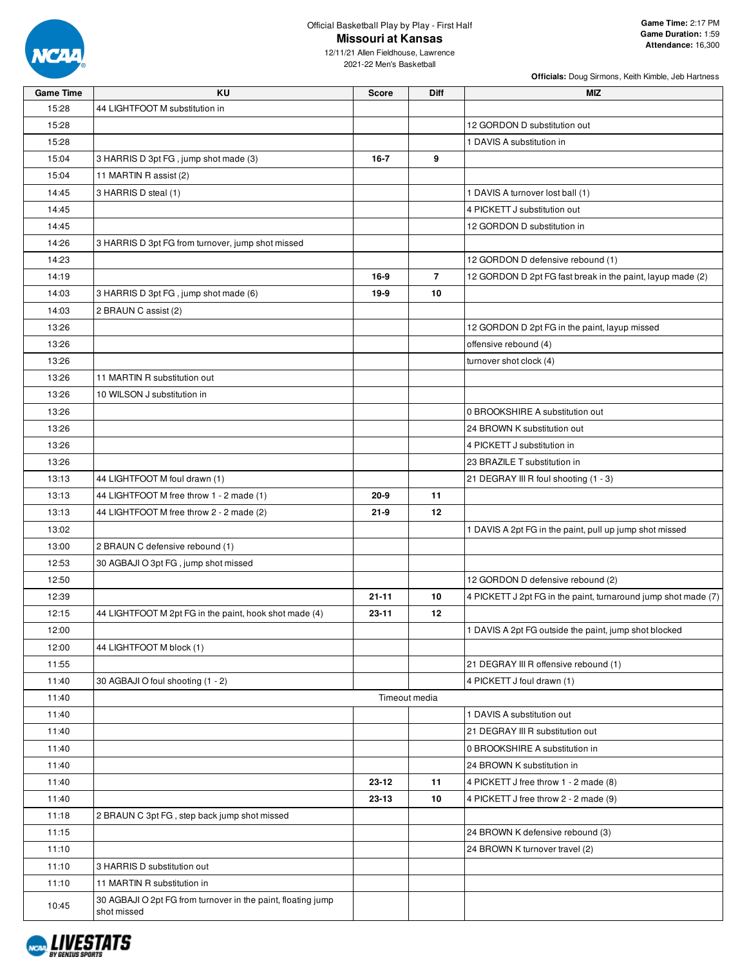

**Officials:** Doug Sirmons, Keith Kimble, Jeb Hartness

12/11/21 Allen Fieldhouse, Lawrence 2021-22 Men's Basketball

| <b>Game Time</b> | <b>KU</b>                                                    | <b>Score</b> | Diff           | <b>MIZ</b>                                                     |
|------------------|--------------------------------------------------------------|--------------|----------------|----------------------------------------------------------------|
| 15:28            | 44 LIGHTFOOT M substitution in                               |              |                |                                                                |
| 15:28            |                                                              |              |                | 12 GORDON D substitution out                                   |
| 15:28            |                                                              |              |                | 1 DAVIS A substitution in                                      |
| 15:04            | 3 HARRIS D 3pt FG, jump shot made (3)                        | $16 - 7$     | 9              |                                                                |
| 15:04            | 11 MARTIN R assist (2)                                       |              |                |                                                                |
| 14:45            | 3 HARRIS D steal (1)                                         |              |                | 1 DAVIS A turnover lost ball (1)                               |
| 14:45            |                                                              |              |                | 4 PICKETT J substitution out                                   |
| 14:45            |                                                              |              |                | 12 GORDON D substitution in                                    |
| 14:26            | 3 HARRIS D 3pt FG from turnover, jump shot missed            |              |                |                                                                |
| 14:23            |                                                              |              |                | 12 GORDON D defensive rebound (1)                              |
| 14:19            |                                                              | 16-9         | $\overline{7}$ | 12 GORDON D 2pt FG fast break in the paint, layup made (2)     |
| 14:03            | 3 HARRIS D 3pt FG, jump shot made (6)                        | 19-9         | 10             |                                                                |
| 14:03            | 2 BRAUN C assist (2)                                         |              |                |                                                                |
| 13:26            |                                                              |              |                | 12 GORDON D 2pt FG in the paint, layup missed                  |
| 13:26            |                                                              |              |                | offensive rebound (4)                                          |
| 13:26            |                                                              |              |                | turnover shot clock (4)                                        |
| 13:26            | 11 MARTIN R substitution out                                 |              |                |                                                                |
| 13:26            | 10 WILSON J substitution in                                  |              |                |                                                                |
| 13:26            |                                                              |              |                | 0 BROOKSHIRE A substitution out                                |
| 13:26            |                                                              |              |                | 24 BROWN K substitution out                                    |
| 13:26            |                                                              |              |                | 4 PICKETT J substitution in                                    |
| 13:26            |                                                              |              |                | 23 BRAZILE T substitution in                                   |
| 13:13            | 44 LIGHTFOOT M foul drawn (1)                                |              |                | 21 DEGRAY III R foul shooting (1 - 3)                          |
| 13:13            | 44 LIGHTFOOT M free throw 1 - 2 made (1)                     | 20-9         | 11             |                                                                |
| 13:13            | 44 LIGHTFOOT M free throw 2 - 2 made (2)                     | $21 - 9$     | 12             |                                                                |
| 13:02            |                                                              |              |                | 1 DAVIS A 2pt FG in the paint, pull up jump shot missed        |
| 13:00            | 2 BRAUN C defensive rebound (1)                              |              |                |                                                                |
| 12:53            | 30 AGBAJI O 3pt FG, jump shot missed                         |              |                |                                                                |
| 12:50            |                                                              |              |                | 12 GORDON D defensive rebound (2)                              |
| 12:39            |                                                              | $21 - 11$    | 10             | 4 PICKETT J 2pt FG in the paint, turnaround jump shot made (7) |
| 12:15            | 44 LIGHTFOOT M 2pt FG in the paint, hook shot made (4)       | $23 - 11$    | 12             |                                                                |
| 12:00            |                                                              |              |                | 1 DAVIS A 2pt FG outside the paint, jump shot blocked          |
| 12:00            | 44 LIGHTFOOT M block (1)                                     |              |                |                                                                |
| 11:55            |                                                              |              |                | 21 DEGRAY III R offensive rebound (1)                          |
| 11:40            | 30 AGBAJI O foul shooting (1 - 2)                            |              |                | 4 PICKETT J foul drawn (1)                                     |
| 11:40            |                                                              |              | Timeout media  |                                                                |
| 11:40            |                                                              |              |                | 1 DAVIS A substitution out                                     |
| 11:40            |                                                              |              |                | 21 DEGRAY III R substitution out                               |
| 11:40            |                                                              |              |                | 0 BROOKSHIRE A substitution in                                 |
| 11:40            |                                                              |              |                | 24 BROWN K substitution in                                     |
| 11:40            |                                                              | 23-12        | 11             | 4 PICKETT J free throw 1 - 2 made (8)                          |
| 11:40            |                                                              | 23-13        | 10             | 4 PICKETT J free throw 2 - 2 made (9)                          |
| 11:18            | 2 BRAUN C 3pt FG, step back jump shot missed                 |              |                |                                                                |
| 11:15            |                                                              |              |                | 24 BROWN K defensive rebound (3)                               |
| 11:10            |                                                              |              |                | 24 BROWN K turnover travel (2)                                 |
| 11:10            | 3 HARRIS D substitution out                                  |              |                |                                                                |
| 11:10            | 11 MARTIN R substitution in                                  |              |                |                                                                |
|                  | 30 AGBAJI O 2pt FG from turnover in the paint, floating jump |              |                |                                                                |
| 10:45            | shot missed                                                  |              |                |                                                                |

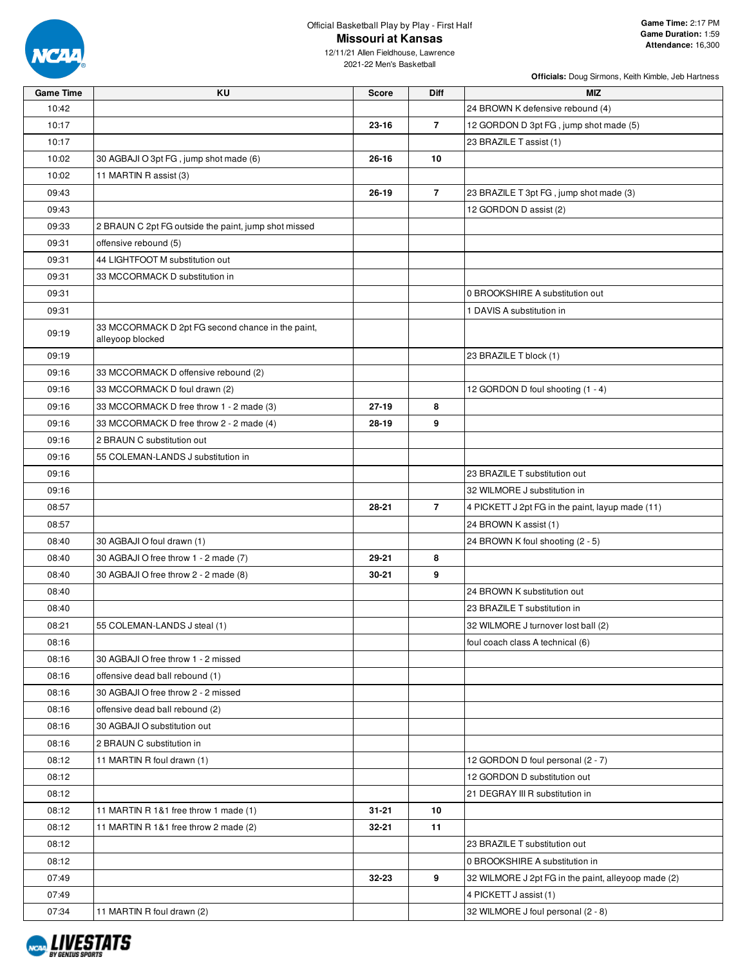

**Officials:** Doug Sirmons, Keith Kimble, Jeb Hartness

12/11/21 Allen Fieldhouse, Lawrence 2021-22 Men's Basketball

| <b>Game Time</b> | ΚU                                                                    | <b>Score</b> | Diff           | <b>MIZ</b>                                          |
|------------------|-----------------------------------------------------------------------|--------------|----------------|-----------------------------------------------------|
| 10:42            |                                                                       |              |                | 24 BROWN K defensive rebound (4)                    |
| 10:17            |                                                                       | 23-16        | $\overline{7}$ | 12 GORDON D 3pt FG, jump shot made (5)              |
| 10:17            |                                                                       |              |                | 23 BRAZILE T assist (1)                             |
| 10:02            | 30 AGBAJI O 3pt FG, jump shot made (6)                                | 26-16        | 10             |                                                     |
| 10:02            | 11 MARTIN R assist (3)                                                |              |                |                                                     |
| 09:43            |                                                                       | $26 - 19$    | $\overline{7}$ | 23 BRAZILE T 3pt FG, jump shot made (3)             |
| 09:43            |                                                                       |              |                | 12 GORDON D assist (2)                              |
| 09:33            | 2 BRAUN C 2pt FG outside the paint, jump shot missed                  |              |                |                                                     |
| 09:31            | offensive rebound (5)                                                 |              |                |                                                     |
| 09:31            | 44 LIGHTFOOT M substitution out                                       |              |                |                                                     |
| 09:31            | 33 MCCORMACK D substitution in                                        |              |                |                                                     |
| 09:31            |                                                                       |              |                | 0 BROOKSHIRE A substitution out                     |
| 09:31            |                                                                       |              |                | 1 DAVIS A substitution in                           |
| 09:19            | 33 MCCORMACK D 2pt FG second chance in the paint,<br>alleyoop blocked |              |                |                                                     |
| 09:19            |                                                                       |              |                | 23 BRAZILE T block (1)                              |
| 09:16            | 33 MCCORMACK D offensive rebound (2)                                  |              |                |                                                     |
| 09:16            | 33 MCCORMACK D foul drawn (2)                                         |              |                | 12 GORDON D foul shooting (1 - 4)                   |
| 09:16            | 33 MCCORMACK D free throw 1 - 2 made (3)                              | $27 - 19$    | 8              |                                                     |
| 09:16            | 33 MCCORMACK D free throw 2 - 2 made (4)                              | 28-19        | 9              |                                                     |
| 09:16            | 2 BRAUN C substitution out                                            |              |                |                                                     |
| 09:16            | 55 COLEMAN-LANDS J substitution in                                    |              |                |                                                     |
| 09:16            |                                                                       |              |                | 23 BRAZILE T substitution out                       |
| 09:16            |                                                                       |              |                | 32 WILMORE J substitution in                        |
| 08:57            |                                                                       | 28-21        | $\overline{7}$ | 4 PICKETT J 2pt FG in the paint, layup made (11)    |
| 08:57            |                                                                       |              |                | 24 BROWN K assist (1)                               |
| 08:40            | 30 AGBAJI O foul drawn (1)                                            |              |                | 24 BROWN K foul shooting (2 - 5)                    |
| 08:40            | 30 AGBAJI O free throw 1 - 2 made (7)                                 | 29-21        | 8              |                                                     |
| 08:40            | 30 AGBAJI O free throw 2 - 2 made (8)                                 | 30-21        | 9              |                                                     |
| 08:40            |                                                                       |              |                | 24 BROWN K substitution out                         |
| 08:40            |                                                                       |              |                | 23 BRAZILE T substitution in                        |
| 08:21            | 55 COLEMAN-LANDS J steal (1)                                          |              |                | 32 WILMORE J turnover lost ball (2)                 |
| 08:16            |                                                                       |              |                | foul coach class A technical (6)                    |
| 08:16            | 30 AGBAJI O free throw 1 - 2 missed                                   |              |                |                                                     |
| 08:16            | offensive dead ball rebound (1)                                       |              |                |                                                     |
| 08:16            | 30 AGBAJI O free throw 2 - 2 missed                                   |              |                |                                                     |
| 08:16            | offensive dead ball rebound (2)                                       |              |                |                                                     |
| 08:16            | 30 AGBAJI O substitution out                                          |              |                |                                                     |
| 08:16            | 2 BRAUN C substitution in                                             |              |                |                                                     |
| 08:12            | 11 MARTIN R foul drawn (1)                                            |              |                | 12 GORDON D foul personal (2 - 7)                   |
| 08:12            |                                                                       |              |                | 12 GORDON D substitution out                        |
| 08:12            |                                                                       |              |                | 21 DEGRAY III R substitution in                     |
| 08:12            | 11 MARTIN R 1&1 free throw 1 made (1)                                 | 31-21        | 10             |                                                     |
| 08:12            | 11 MARTIN R 1&1 free throw 2 made (2)                                 | 32-21        | 11             |                                                     |
| 08:12            |                                                                       |              |                | 23 BRAZILE T substitution out                       |
| 08:12            |                                                                       |              |                | 0 BROOKSHIRE A substitution in                      |
| 07:49            |                                                                       | 32-23        | 9              | 32 WILMORE J 2pt FG in the paint, alleyoop made (2) |
| 07:49            |                                                                       |              |                | 4 PICKETT J assist (1)                              |
| 07:34            | 11 MARTIN R foul drawn (2)                                            |              |                | 32 WILMORE J foul personal (2 - 8)                  |

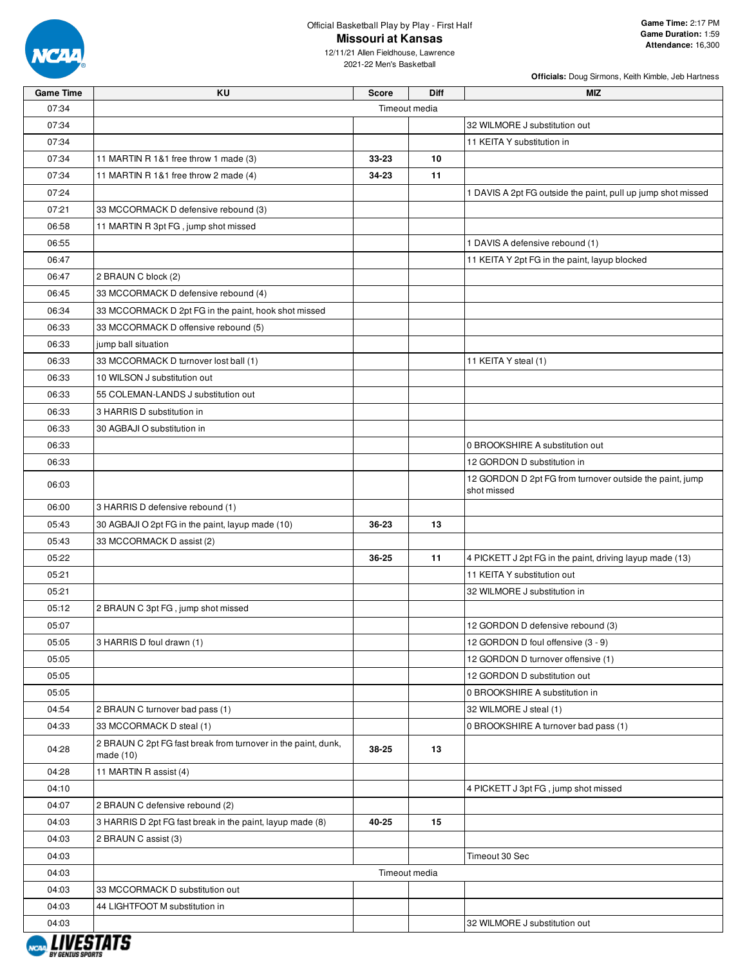

**Officials:** Doug Sirmons, Keith Kimble, Jeb Hartness

12/11/21 Allen Fieldhouse, Lawrence 2021-22 Men's Basketball

| <b>Game Time</b> | KU                                                                           | <b>Score</b> | <b>Diff</b>   | MIZ                                                                     |
|------------------|------------------------------------------------------------------------------|--------------|---------------|-------------------------------------------------------------------------|
| 07:34            |                                                                              |              | Timeout media |                                                                         |
| 07:34            |                                                                              |              |               | 32 WILMORE J substitution out                                           |
| 07:34            |                                                                              |              |               | 11 KEITA Y substitution in                                              |
| 07:34            | 11 MARTIN R 1&1 free throw 1 made (3)                                        | 33-23        | 10            |                                                                         |
| 07:34            | 11 MARTIN R 1&1 free throw 2 made (4)                                        | 34-23        | 11            |                                                                         |
| 07:24            |                                                                              |              |               | 1 DAVIS A 2pt FG outside the paint, pull up jump shot missed            |
| 07:21            | 33 MCCORMACK D defensive rebound (3)                                         |              |               |                                                                         |
| 06:58            | 11 MARTIN R 3pt FG, jump shot missed                                         |              |               |                                                                         |
| 06:55            |                                                                              |              |               | 1 DAVIS A defensive rebound (1)                                         |
| 06:47            |                                                                              |              |               | 11 KEITA Y 2pt FG in the paint, layup blocked                           |
| 06:47            | 2 BRAUN C block (2)                                                          |              |               |                                                                         |
| 06:45            | 33 MCCORMACK D defensive rebound (4)                                         |              |               |                                                                         |
| 06:34            | 33 MCCORMACK D 2pt FG in the paint, hook shot missed                         |              |               |                                                                         |
| 06:33            | 33 MCCORMACK D offensive rebound (5)                                         |              |               |                                                                         |
| 06:33            | jump ball situation                                                          |              |               |                                                                         |
| 06:33            | 33 MCCORMACK D turnover lost ball (1)                                        |              |               | 11 KEITA Y steal (1)                                                    |
| 06:33            | 10 WILSON J substitution out                                                 |              |               |                                                                         |
| 06:33            | 55 COLEMAN-LANDS J substitution out                                          |              |               |                                                                         |
| 06:33            | 3 HARRIS D substitution in                                                   |              |               |                                                                         |
| 06:33            | 30 AGBAJI O substitution in                                                  |              |               |                                                                         |
| 06:33            |                                                                              |              |               | 0 BROOKSHIRE A substitution out                                         |
| 06:33            |                                                                              |              |               | 12 GORDON D substitution in                                             |
| 06:03            |                                                                              |              |               | 12 GORDON D 2pt FG from turnover outside the paint, jump<br>shot missed |
| 06:00            | 3 HARRIS D defensive rebound (1)                                             |              |               |                                                                         |
| 05:43            | 30 AGBAJI O 2pt FG in the paint, layup made (10)                             | 36-23        | 13            |                                                                         |
| 05:43            | 33 MCCORMACK D assist (2)                                                    |              |               |                                                                         |
| 05:22            |                                                                              | 36-25        | 11            | 4 PICKETT J 2pt FG in the paint, driving layup made (13)                |
| 05:21            |                                                                              |              |               | 11 KEITA Y substitution out                                             |
| 05:21            |                                                                              |              |               | 32 WILMORE J substitution in                                            |
| 05:12            | 2 BRAUN C 3pt FG, jump shot missed                                           |              |               |                                                                         |
| 05:07            |                                                                              |              |               | 12 GORDON D defensive rebound (3)                                       |
| 05:05            | 3 HARRIS D foul drawn (1)                                                    |              |               | 12 GORDON D foul offensive (3 - 9)                                      |
| 05:05            |                                                                              |              |               | 12 GORDON D turnover offensive (1)                                      |
| 05:05            |                                                                              |              |               | 12 GORDON D substitution out                                            |
| 05:05            |                                                                              |              |               | 0 BROOKSHIRE A substitution in                                          |
| 04:54            | 2 BRAUN C turnover bad pass (1)                                              |              |               | 32 WILMORE J steal (1)                                                  |
| 04:33            | 33 MCCORMACK D steal (1)                                                     |              |               | 0 BROOKSHIRE A turnover bad pass (1)                                    |
| 04:28            | 2 BRAUN C 2pt FG fast break from turnover in the paint, dunk,<br>made $(10)$ | 38-25        | 13            |                                                                         |
| 04:28            | 11 MARTIN R assist (4)                                                       |              |               |                                                                         |
| 04:10            |                                                                              |              |               | 4 PICKETT J 3pt FG, jump shot missed                                    |
| 04:07            | 2 BRAUN C defensive rebound (2)                                              |              |               |                                                                         |
| 04:03            | 3 HARRIS D 2pt FG fast break in the paint, layup made (8)                    | 40-25        | 15            |                                                                         |
| 04:03            | 2 BRAUN C assist (3)                                                         |              |               |                                                                         |
| 04:03            |                                                                              |              |               | Timeout 30 Sec                                                          |
| 04:03            |                                                                              |              | Timeout media |                                                                         |
| 04:03            | 33 MCCORMACK D substitution out                                              |              |               |                                                                         |
| 04:03            | 44 LIGHTFOOT M substitution in                                               |              |               |                                                                         |
| 04:03            |                                                                              |              |               | 32 WILMORE J substitution out                                           |
| I IIIPATZER      |                                                                              |              |               |                                                                         |

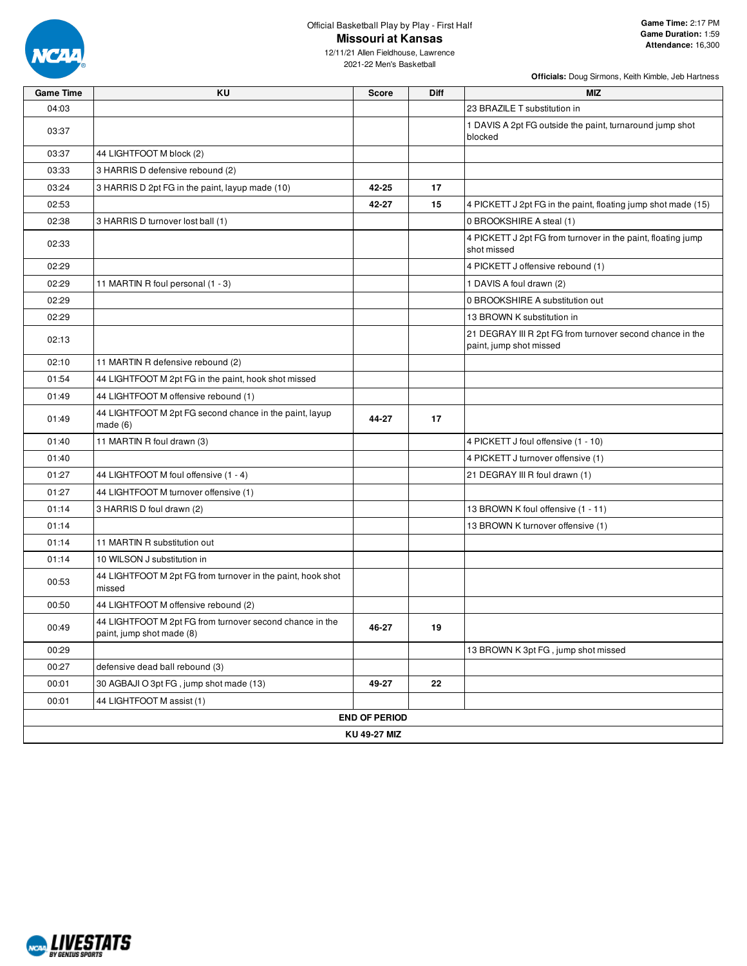

2021-22 Men's Basketball

| <b>Game Time</b> | KU                                                                                    | <b>Score</b>         | Diff | <b>MIZ</b>                                                                           |  |  |  |  |  |
|------------------|---------------------------------------------------------------------------------------|----------------------|------|--------------------------------------------------------------------------------------|--|--|--|--|--|
| 04:03            |                                                                                       |                      |      | 23 BRAZILE T substitution in                                                         |  |  |  |  |  |
| 03:37            |                                                                                       |                      |      | 1 DAVIS A 2pt FG outside the paint, turnaround jump shot<br>blocked                  |  |  |  |  |  |
| 03:37            | 44 LIGHTFOOT M block (2)                                                              |                      |      |                                                                                      |  |  |  |  |  |
| 03:33            | 3 HARRIS D defensive rebound (2)                                                      |                      |      |                                                                                      |  |  |  |  |  |
| 03:24            | 3 HARRIS D 2pt FG in the paint, layup made (10)                                       | 42-25                | 17   |                                                                                      |  |  |  |  |  |
| 02:53            |                                                                                       | 42-27                | 15   | 4 PICKETT J 2pt FG in the paint, floating jump shot made (15)                        |  |  |  |  |  |
| 02:38            | 3 HARRIS D turnover lost ball (1)                                                     |                      |      | 0 BROOKSHIRE A steal (1)                                                             |  |  |  |  |  |
| 02:33            |                                                                                       |                      |      | 4 PICKETT J 2pt FG from turnover in the paint, floating jump<br>shot missed          |  |  |  |  |  |
| 02:29            |                                                                                       |                      |      | 4 PICKETT J offensive rebound (1)                                                    |  |  |  |  |  |
| 02:29            | 11 MARTIN R foul personal (1 - 3)                                                     |                      |      | 1 DAVIS A foul drawn (2)                                                             |  |  |  |  |  |
| 02:29            |                                                                                       |                      |      | 0 BROOKSHIRE A substitution out                                                      |  |  |  |  |  |
| 02:29            |                                                                                       |                      |      | 13 BROWN K substitution in                                                           |  |  |  |  |  |
| 02:13            |                                                                                       |                      |      | 21 DEGRAY III R 2pt FG from turnover second chance in the<br>paint, jump shot missed |  |  |  |  |  |
| 02:10            | 11 MARTIN R defensive rebound (2)                                                     |                      |      |                                                                                      |  |  |  |  |  |
| 01:54            | 44 LIGHTFOOT M 2pt FG in the paint, hook shot missed                                  |                      |      |                                                                                      |  |  |  |  |  |
| 01:49            | 44 LIGHTFOOT M offensive rebound (1)                                                  |                      |      |                                                                                      |  |  |  |  |  |
| 01:49            | 44 LIGHTFOOT M 2pt FG second chance in the paint, layup<br>made(6)                    | 44-27                | 17   |                                                                                      |  |  |  |  |  |
| 01:40            | 11 MARTIN R foul drawn (3)                                                            |                      |      | 4 PICKETT J foul offensive (1 - 10)                                                  |  |  |  |  |  |
| 01:40            |                                                                                       |                      |      | 4 PICKETT J turnover offensive (1)                                                   |  |  |  |  |  |
| 01:27            | 44 LIGHTFOOT M foul offensive (1 - 4)                                                 |                      |      | 21 DEGRAY III R foul drawn (1)                                                       |  |  |  |  |  |
| 01:27            | 44 LIGHTFOOT M turnover offensive (1)                                                 |                      |      |                                                                                      |  |  |  |  |  |
| 01:14            | 3 HARRIS D foul drawn (2)                                                             |                      |      | 13 BROWN K foul offensive (1 - 11)                                                   |  |  |  |  |  |
| 01:14            |                                                                                       |                      |      | 13 BROWN K turnover offensive (1)                                                    |  |  |  |  |  |
| 01:14            | 11 MARTIN R substitution out                                                          |                      |      |                                                                                      |  |  |  |  |  |
| 01:14            | 10 WILSON J substitution in                                                           |                      |      |                                                                                      |  |  |  |  |  |
| 00:53            | 44 LIGHTFOOT M 2pt FG from turnover in the paint, hook shot<br>missed                 |                      |      |                                                                                      |  |  |  |  |  |
| 00:50            | 44 LIGHTFOOT M offensive rebound (2)                                                  |                      |      |                                                                                      |  |  |  |  |  |
| 00:49            | 44 LIGHTFOOT M 2pt FG from turnover second chance in the<br>paint, jump shot made (8) | 46-27                | 19   |                                                                                      |  |  |  |  |  |
| 00:29            |                                                                                       |                      |      | 13 BROWN K 3pt FG, jump shot missed                                                  |  |  |  |  |  |
| 00:27            | defensive dead ball rebound (3)                                                       |                      |      |                                                                                      |  |  |  |  |  |
| 00:01            | 30 AGBAJI O 3pt FG, jump shot made (13)                                               | 49-27                | 22   |                                                                                      |  |  |  |  |  |
| 00:01            | 44 LIGHTFOOT M assist (1)                                                             |                      |      |                                                                                      |  |  |  |  |  |
|                  |                                                                                       | <b>END OF PERIOD</b> |      |                                                                                      |  |  |  |  |  |
|                  | KU 49-27 MIZ                                                                          |                      |      |                                                                                      |  |  |  |  |  |

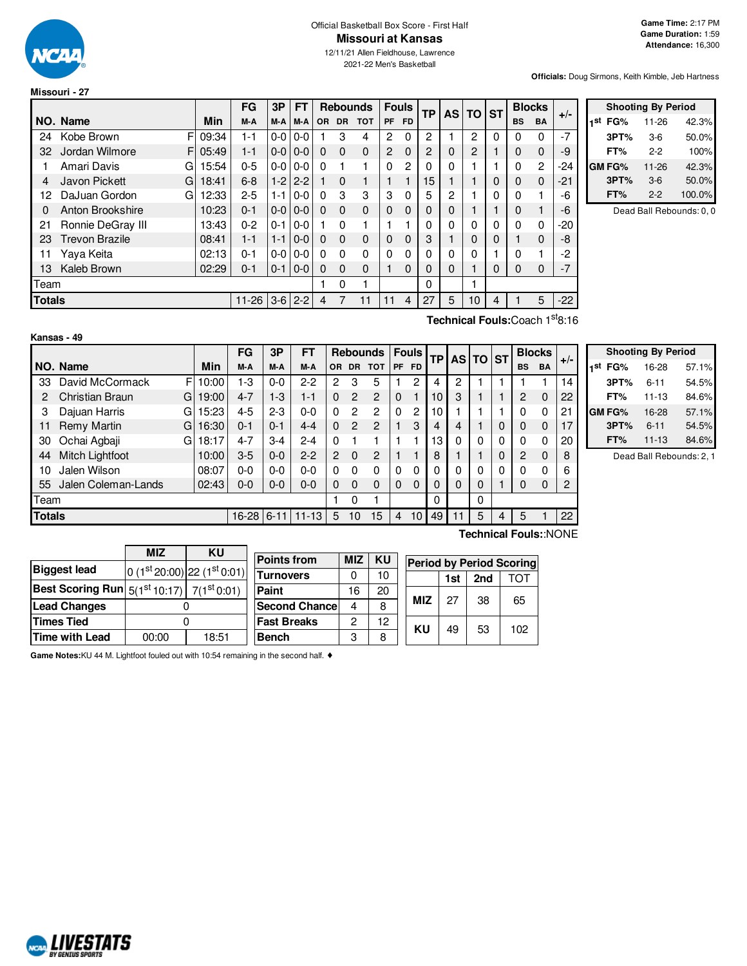

**Kansas - 49**

#### Official Basketball Box Score - First Half **Missouri at Kansas**

12/11/21 Allen Fieldhouse, Lawrence 2021-22 Men's Basketball

**Officials:** Doug Sirmons, Keith Kimble, Jeb Hartness

|          |                                |       | FG        | 3P      | <b>FT</b> |           | <b>Rebounds</b> |            | <b>Fouls</b>   |           | <b>TP</b> | <b>AS</b> | <b>TO</b> | <b>ST</b> | <b>Blocks</b> |                | $+/-$ |
|----------|--------------------------------|-------|-----------|---------|-----------|-----------|-----------------|------------|----------------|-----------|-----------|-----------|-----------|-----------|---------------|----------------|-------|
|          | NO. Name                       | Min   | M-A       | M-A I   | M-A       | <b>OR</b> | <b>DR</b>       | <b>TOT</b> | PF             | <b>FD</b> |           |           |           |           | <b>BS</b>     | <b>BA</b>      |       |
| 24       | F<br>Kobe Brown                | 09:34 | $1 - 1$   | $0-0$   | $0-0$     |           | 3               | 4          | $\overline{c}$ | 0         | 2         |           | 2         | $\Omega$  | $\Omega$      | 0              | $-7$  |
| 32       | Jordan Wilmore<br>F            | 05:49 | $1 - 1$   | $0-0$   | $0-0$     | $\Omega$  | $\Omega$        | $\Omega$   | $\overline{c}$ | $\Omega$  | 2         | 0         | 2         |           | $\Omega$      | $\Omega$       | -9    |
|          | Amari Davis<br>G               | 15:54 | $0 - 5$   | $0-0$   | $0 - 0$   | 0         |                 |            | $\Omega$       | 2         | 0         | 0         |           |           | 0             | $\overline{2}$ | -24   |
| 4        | Javon Pickett<br>G             | 18:41 | $6 - 8$   | $1-2$   | $2 - 2$   |           | $\Omega$        |            |                |           | 15        |           |           | 0         | 0             | $\mathbf 0$    | $-21$ |
| 12       | DaJuan Gordon<br>G             | 12:33 | $2 - 5$   | 1-1     | $0-0$     | $\Omega$  | 3               | 3          | 3              | 0         | 5         | 2         |           | 0         | $\Omega$      |                | -6    |
| $\Omega$ | Anton Brookshire               | 10:23 | $0 - 1$   | $0-0$   | $0 - 0$   | $\Omega$  | $\Omega$        | $\Omega$   | $\mathbf 0$    | 0         | 0         | 0         |           |           | 0             |                | -6    |
| 21       | Ronnie DeGray III              | 13:43 | $0 - 2$   | $0 - 1$ | $0-0$     |           | $\Omega$        |            |                |           | $\Omega$  | ŋ         | 0         | 0         | $\Omega$      | 0              | $-20$ |
| 23       | <b>Trevon Brazile</b>          | 08:41 | $1 - 1$   | $1 - 1$ | $0 - 0$   | $\Omega$  | $\Omega$        | $\Omega$   | 0              | $\Omega$  | 3         |           | 0         | 0         |               | $\Omega$       | -8    |
| 11       | Yava Keita                     | 02:13 | $0 - 1$   | $0-0$   | $0-0$     | 0         | $\Omega$        | 0          | 0              | 0         | 0         | 0         | 0         |           | 0             |                | $-2$  |
| 13       | Kaleb Brown                    | 02:29 | $0 - 1$   | $0 - 1$ | $0 - 0$   | $\Omega$  | $\Omega$        | $\Omega$   |                | 0         | $\Omega$  | 0         |           | 0         | 0             | 0              | $-7$  |
| Team     |                                |       |           |         |           |           | 0               |            |                |           | 0         |           |           |           |               |                |       |
| Totals   |                                |       | $11 - 26$ | $3-6$   | $2 - 2$   | 4         |                 | 11         | 11             | 4         | 27        | 5         | 10        | 4         |               | 5              | $-22$ |
|          | Technical Fouls: Coach 1st8:16 |       |           |         |           |           |                 |            |                |           |           |           |           |           |               |                |       |

|     | <b>Shooting By Period</b> |       |        |  |  |  |  |  |  |  |  |
|-----|---------------------------|-------|--------|--|--|--|--|--|--|--|--|
| 1st | FG%                       | 11-26 | 42.3%  |  |  |  |  |  |  |  |  |
|     | 3PT%                      | $3-6$ | 50.0%  |  |  |  |  |  |  |  |  |
|     | FT%                       | 2-2   | 100%   |  |  |  |  |  |  |  |  |
|     | <b>GM FG%</b>             | 11-26 | 42.3%  |  |  |  |  |  |  |  |  |
|     | 3PT%                      | $3-6$ | 50.0%  |  |  |  |  |  |  |  |  |
|     | FT%                       | $2-2$ | 100.0% |  |  |  |  |  |  |  |  |

Dead Ball Rebounds: 0, 0

|               | Kansas - 49            |    |       |            |         |           |                                |                |                 |              |          |    |    |          |           |           |               |    |
|---------------|------------------------|----|-------|------------|---------|-----------|--------------------------------|----------------|-----------------|--------------|----------|----|----|----------|-----------|-----------|---------------|----|
|               |                        |    |       | <b>FG</b>  | 3P      | <b>FT</b> |                                |                | <b>Rebounds</b> | <b>Fouls</b> |          | ТP |    | AS TO ST |           |           | <b>Blocks</b> |    |
|               | NO. Name               |    | Min   | M-A        | M-A     | M-A       | <b>DR</b><br><b>TOT</b><br>OR. |                | PF              | <b>FD</b>    |          |    |    |          | <b>BS</b> | <b>BA</b> | $+/-$         |    |
| 33            | David McCormack        | F. | 10:00 | 1-3        | $0 - 0$ | $2-2$     | 2                              | 3              | 5               |              | 2        | 4  | 2  |          |           |           |               | 14 |
| 2             | <b>Christian Braun</b> | G  | 19:00 | $4 - 7$    | $1-3$   | $1 - 1$   | 0                              | $\overline{2}$ | $\mathbf{2}$    | $\Omega$     | 1        | 10 | 3  |          |           | 2         | $\Omega$      | 22 |
| 3             | Dajuan Harris          | G  | 15:23 | 4-5        | $2 - 3$ | $0-0$     | $\Omega$                       | 2              | $\overline{2}$  | 0            | 2        | 10 |    |          |           | 0         | 0             | 21 |
| 11            | Remy Martin            | G  | 16:30 | $0 - 1$    | $0 - 1$ | $4 - 4$   | 0                              | $\overline{2}$ | $\overline{2}$  |              | 3        | 4  | 4  |          | $\Omega$  | $\Omega$  | $\Omega$      | 17 |
| 30            | Ochai Agbaji           | G  | 18:17 | $4 - 7$    | $3-4$   | $2 - 4$   | 0                              |                |                 |              |          | 13 | 0  | 0        | $\Omega$  | $\Omega$  | 0             | 20 |
| 44            | Mitch Lightfoot        |    | 10:00 | $3-5$      | $0 - 0$ | $2 - 2$   | 2                              | $\Omega$       | 2               |              |          | 8  |    |          | 0         | 2         | $\Omega$      | 8  |
| 10            | Jalen Wilson           |    | 08:07 | 0-0        | $0 - 0$ | $0 - 0$   | 0                              | 0              | 0               | 0            | $\Omega$ | 0  | 0  | 0        | $\Omega$  | 0         | 0             | 6  |
| 55            | Jalen Coleman-Lands    |    | 02:43 | $0 - 0$    | $0 - 0$ | $0 - 0$   | 0                              | $\Omega$       | $\Omega$        | 0            | $\Omega$ | 0  | 0  | 0        |           | 0         | 0             | 2  |
|               | Team                   |    |       |            |         |           |                                | 0              |                 |              |          | 0  |    | 0        |           |           |               |    |
| <b>Totals</b> |                        |    |       | 16-28 6-11 |         | $11 - 13$ | 5                              | 10             | 15              | 4            | 10       | 49 | 11 | 5        | 4         | 5         |               | 22 |

| <b>Shooting By Period</b> |           |       |  |  |  |  |  |  |  |
|---------------------------|-----------|-------|--|--|--|--|--|--|--|
| 1st<br>FG%                | 16-28     | 57.1% |  |  |  |  |  |  |  |
| 3PT%                      | $6 - 11$  | 54.5% |  |  |  |  |  |  |  |
| FT%                       | $11 - 13$ | 84.6% |  |  |  |  |  |  |  |
| <b>GM FG%</b>             | 16-28     | 57.1% |  |  |  |  |  |  |  |
| 3PT%                      | $6 - 11$  | 54.5% |  |  |  |  |  |  |  |
| FT%                       | $11 - 13$ | 84.6% |  |  |  |  |  |  |  |

Dead Ball Rebounds: 2, 1

|                                                                  | <b>MIZ</b> | KU    |                                                                                  |    |    |            |     |     |     |  |  |
|------------------------------------------------------------------|------------|-------|----------------------------------------------------------------------------------|----|----|------------|-----|-----|-----|--|--|
| <b>Biggest lead</b>                                              |            |       | <b>Points from</b><br><b>MIZ</b><br><b>KU</b><br><b>Period by Period Scoring</b> |    |    |            |     |     |     |  |  |
|                                                                  |            |       | $\int$ 0 (1st 20:00) 22 (1st 0:01) Turnovers                                     |    | 10 |            | 1st | 2nd | тот |  |  |
| <b>Best Scoring Run</b> $5(1^{st}10:17)$ 7(1 <sup>st</sup> 0:01) |            |       | Paint                                                                            | 16 | 20 |            |     |     |     |  |  |
| <b>Lead Changes</b>                                              |            |       | <b>Second Chance</b>                                                             |    | 8  | <b>MIZ</b> | 27  | 38  | 65  |  |  |
| <b>Times Tied</b>                                                |            |       | <b>Fast Breaks</b>                                                               | റ  | 12 | KU         | 49  | 53  | 102 |  |  |
| Time with Lead                                                   | 00:00      | 18:51 | <b>Bench</b>                                                                     | 3  | 8  |            |     |     |     |  |  |

**Game Notes:**KU 44 M. Lightfoot fouled out with 10:54 remaining in the second half. ♦

**Technical Fouls:**:NONE

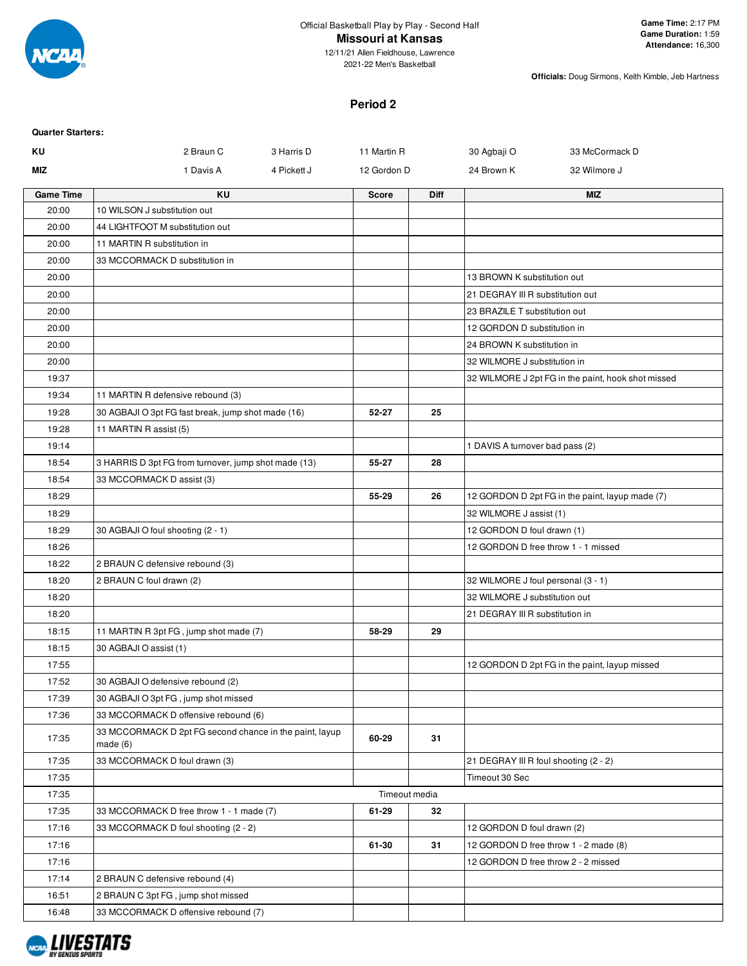

## **Missouri at Kansas**

12/11/21 Allen Fieldhouse, Lawrence 2021-22 Men's Basketball

**Officials:** Doug Sirmons, Keith Kimble, Jeb Hartness

# **Period 2**

| <b>Quarter Starters:</b> |                                                                    |               |             |                                                    |  |
|--------------------------|--------------------------------------------------------------------|---------------|-------------|----------------------------------------------------|--|
| KU                       | 2 Braun C<br>3 Harris D                                            | 11 Martin R   |             | 30 Agbaji O<br>33 McCormack D                      |  |
| MIZ                      | 1 Davis A<br>4 Pickett J                                           | 12 Gordon D   |             | 24 Brown K<br>32 Wilmore J                         |  |
| <b>Game Time</b>         | <b>KU</b>                                                          | <b>Score</b>  | <b>Diff</b> | <b>MIZ</b>                                         |  |
| 20:00                    | 10 WILSON J substitution out                                       |               |             |                                                    |  |
| 20:00                    | 44 LIGHTFOOT M substitution out                                    |               |             |                                                    |  |
| 20:00                    | 11 MARTIN R substitution in                                        |               |             |                                                    |  |
| 20:00                    | 33 MCCORMACK D substitution in                                     |               |             |                                                    |  |
| 20:00                    |                                                                    |               |             | 13 BROWN K substitution out                        |  |
| 20:00                    |                                                                    |               |             | 21 DEGRAY III R substitution out                   |  |
| 20:00                    |                                                                    |               |             | 23 BRAZILE T substitution out                      |  |
| 20:00                    |                                                                    |               |             | 12 GORDON D substitution in                        |  |
| 20:00                    |                                                                    |               |             | 24 BROWN K substitution in                         |  |
| 20:00                    |                                                                    |               |             | 32 WILMORE J substitution in                       |  |
| 19:37                    |                                                                    |               |             | 32 WILMORE J 2pt FG in the paint, hook shot missed |  |
| 19:34                    | 11 MARTIN R defensive rebound (3)                                  |               |             |                                                    |  |
| 19:28                    | 30 AGBAJI O 3pt FG fast break, jump shot made (16)                 | 52-27         | 25          |                                                    |  |
| 19:28                    | 11 MARTIN R assist (5)                                             |               |             |                                                    |  |
| 19:14                    |                                                                    |               |             | 1 DAVIS A turnover bad pass (2)                    |  |
| 18:54                    | 3 HARRIS D 3pt FG from turnover, jump shot made (13)               | 55-27         | 28          |                                                    |  |
| 18:54                    | 33 MCCORMACK D assist (3)                                          |               |             |                                                    |  |
| 18:29                    |                                                                    | 55-29         | 26          | 12 GORDON D 2pt FG in the paint, layup made (7)    |  |
| 18:29                    |                                                                    |               |             | 32 WILMORE J assist (1)                            |  |
| 18:29                    | 30 AGBAJI O foul shooting (2 - 1)                                  |               |             | 12 GORDON D foul drawn (1)                         |  |
| 18:26                    |                                                                    |               |             | 12 GORDON D free throw 1 - 1 missed                |  |
| 18:22                    | 2 BRAUN C defensive rebound (3)                                    |               |             |                                                    |  |
| 18:20                    | 2 BRAUN C foul drawn (2)                                           |               |             | 32 WILMORE J foul personal (3 - 1)                 |  |
| 18:20                    |                                                                    |               |             | 32 WILMORE J substitution out                      |  |
| 18:20                    |                                                                    |               |             | 21 DEGRAY III R substitution in                    |  |
| 18:15                    | 11 MARTIN R 3pt FG, jump shot made (7)                             | 58-29         | 29          |                                                    |  |
| 18:15                    | 30 AGBAJI O assist (1)                                             |               |             |                                                    |  |
| 17:55                    |                                                                    |               |             | 12 GORDON D 2pt FG in the paint, layup missed      |  |
| 17:52                    | 30 AGBAJI O defensive rebound (2)                                  |               |             |                                                    |  |
| 17:39                    | 30 AGBAJI O 3pt FG, jump shot missed                               |               |             |                                                    |  |
| 17:36                    | 33 MCCORMACK D offensive rebound (6)                               |               |             |                                                    |  |
| 17:35                    | 33 MCCORMACK D 2pt FG second chance in the paint, layup<br>made(6) | 60-29         | 31          |                                                    |  |
| 17:35                    | 33 MCCORMACK D foul drawn (3)                                      |               |             | 21 DEGRAY III R foul shooting (2 - 2)              |  |
| 17:35                    |                                                                    |               |             | Timeout 30 Sec                                     |  |
| 17:35                    |                                                                    | Timeout media |             |                                                    |  |
| 17:35                    | 33 MCCORMACK D free throw 1 - 1 made (7)                           | 61-29         | 32          |                                                    |  |
| 17:16                    | 33 MCCORMACK D foul shooting (2 - 2)                               |               |             | 12 GORDON D foul drawn (2)                         |  |
| 17:16                    |                                                                    | 61-30         | 31          | 12 GORDON D free throw 1 - 2 made (8)              |  |
| 17:16                    |                                                                    |               |             | 12 GORDON D free throw 2 - 2 missed                |  |
| 17:14                    | 2 BRAUN C defensive rebound (4)                                    |               |             |                                                    |  |
| 16:51                    | 2 BRAUN C 3pt FG, jump shot missed                                 |               |             |                                                    |  |
| 16:48                    | 33 MCCORMACK D offensive rebound (7)                               |               |             |                                                    |  |

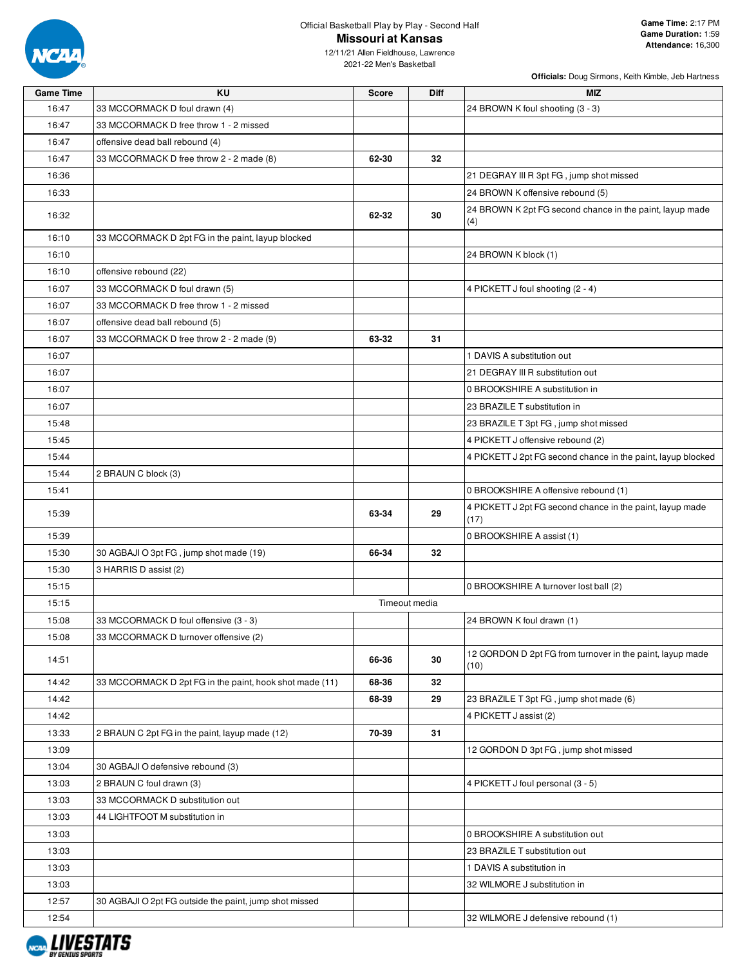

2021-22 Men's Basketball

| <b>Game Time</b> | KU                                                      | <b>Score</b> | Diff          | <b>MIZ</b>                                                        |
|------------------|---------------------------------------------------------|--------------|---------------|-------------------------------------------------------------------|
| 16:47            | 33 MCCORMACK D foul drawn (4)                           |              |               | 24 BROWN K foul shooting (3 - 3)                                  |
| 16:47            | 33 MCCORMACK D free throw 1 - 2 missed                  |              |               |                                                                   |
| 16:47            | offensive dead ball rebound (4)                         |              |               |                                                                   |
| 16:47            | 33 MCCORMACK D free throw 2 - 2 made (8)                | 62-30        | 32            |                                                                   |
| 16:36            |                                                         |              |               | 21 DEGRAY III R 3pt FG, jump shot missed                          |
| 16:33            |                                                         |              |               | 24 BROWN K offensive rebound (5)                                  |
| 16:32            |                                                         | 62-32        | 30            | 24 BROWN K 2pt FG second chance in the paint, layup made<br>(4)   |
| 16:10            | 33 MCCORMACK D 2pt FG in the paint, layup blocked       |              |               |                                                                   |
| 16:10            |                                                         |              |               | 24 BROWN K block (1)                                              |
| 16:10            | offensive rebound (22)                                  |              |               |                                                                   |
| 16:07            | 33 MCCORMACK D foul drawn (5)                           |              |               | 4 PICKETT J foul shooting (2 - 4)                                 |
| 16:07            | 33 MCCORMACK D free throw 1 - 2 missed                  |              |               |                                                                   |
| 16:07            | offensive dead ball rebound (5)                         |              |               |                                                                   |
| 16:07            | 33 MCCORMACK D free throw 2 - 2 made (9)                | 63-32        | 31            |                                                                   |
| 16:07            |                                                         |              |               | 1 DAVIS A substitution out                                        |
| 16:07            |                                                         |              |               | 21 DEGRAY III R substitution out                                  |
| 16:07            |                                                         |              |               | 0 BROOKSHIRE A substitution in                                    |
| 16:07            |                                                         |              |               | 23 BRAZILE T substitution in                                      |
| 15:48            |                                                         |              |               | 23 BRAZILE T 3pt FG, jump shot missed                             |
| 15:45            |                                                         |              |               | 4 PICKETT J offensive rebound (2)                                 |
| 15:44            |                                                         |              |               | 4 PICKETT J 2pt FG second chance in the paint, layup blocked      |
| 15:44            | 2 BRAUN C block (3)                                     |              |               |                                                                   |
| 15:41            |                                                         |              |               | 0 BROOKSHIRE A offensive rebound (1)                              |
| 15:39            |                                                         | 63-34        | 29            | 4 PICKETT J 2pt FG second chance in the paint, layup made<br>(17) |
| 15:39            |                                                         |              |               | 0 BROOKSHIRE A assist (1)                                         |
| 15:30            | 30 AGBAJI O 3pt FG, jump shot made (19)                 | 66-34        | 32            |                                                                   |
| 15:30            | 3 HARRIS D assist (2)                                   |              |               |                                                                   |
| 15:15            |                                                         |              |               | 0 BROOKSHIRE A turnover lost ball (2)                             |
| 15:15            |                                                         |              | Timeout media |                                                                   |
| 15:08            | 33 MCCORMACK D foul offensive (3 - 3)                   |              |               | 24 BROWN K foul drawn (1)                                         |
| 15:08            | 33 MCCORMACK D turnover offensive (2)                   |              |               |                                                                   |
| 14:51            |                                                         | 66-36        | 30            | 12 GORDON D 2pt FG from turnover in the paint, layup made<br>(10) |
| 14:42            | 33 MCCORMACK D 2pt FG in the paint, hook shot made (11) | 68-36        | 32            |                                                                   |
| 14:42            |                                                         | 68-39        | 29            | 23 BRAZILE T 3pt FG, jump shot made (6)                           |
| 14:42            |                                                         |              |               | 4 PICKETT J assist (2)                                            |
| 13:33            | 2 BRAUN C 2pt FG in the paint, layup made (12)          | 70-39        | 31            |                                                                   |
| 13:09            |                                                         |              |               | 12 GORDON D 3pt FG, jump shot missed                              |
| 13:04            | 30 AGBAJI O defensive rebound (3)                       |              |               |                                                                   |
| 13:03            | 2 BRAUN C foul drawn (3)                                |              |               | 4 PICKETT J foul personal (3 - 5)                                 |
| 13:03            | 33 MCCORMACK D substitution out                         |              |               |                                                                   |
| 13:03            | 44 LIGHTFOOT M substitution in                          |              |               |                                                                   |
| 13:03            |                                                         |              |               | 0 BROOKSHIRE A substitution out                                   |
| 13:03            |                                                         |              |               | 23 BRAZILE T substitution out                                     |
| 13:03            |                                                         |              |               | 1 DAVIS A substitution in                                         |
| 13:03            |                                                         |              |               | 32 WILMORE J substitution in                                      |
| 12:57            | 30 AGBAJI O 2pt FG outside the paint, jump shot missed  |              |               |                                                                   |
| 12:54            |                                                         |              |               | 32 WILMORE J defensive rebound (1)                                |

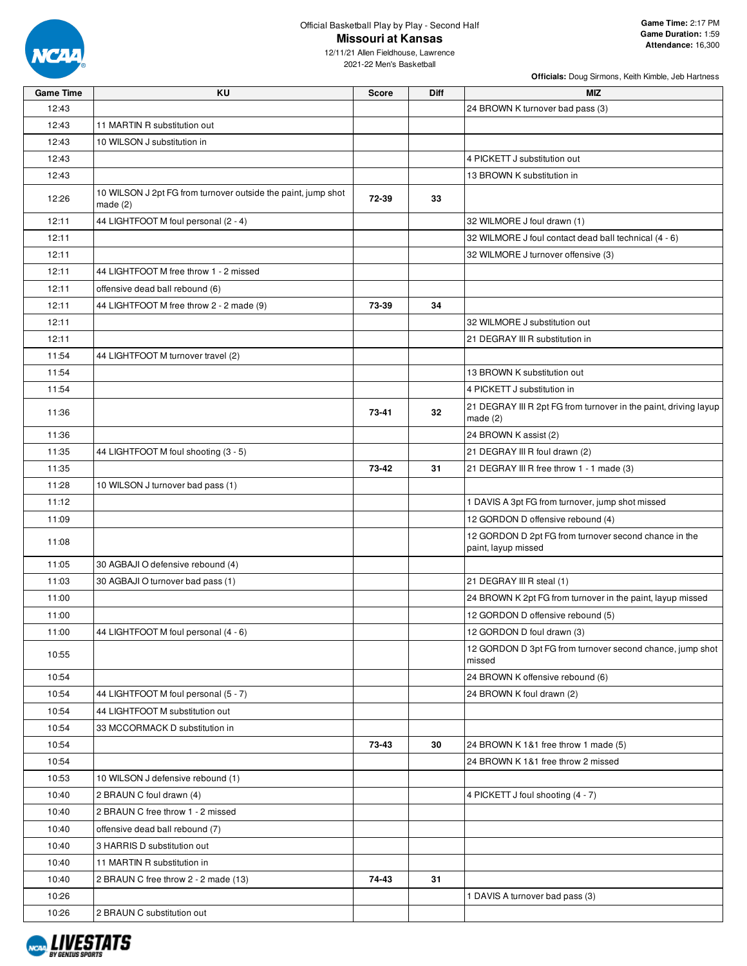

12/11/21 Allen Fieldhouse, Lawrence 2021-22 Men's Basketball

| <b>Game Time</b> | KU                                                                       | <b>Score</b> | Diff | <b>MIZ</b>                                                                     |
|------------------|--------------------------------------------------------------------------|--------------|------|--------------------------------------------------------------------------------|
| 12:43            |                                                                          |              |      | 24 BROWN K turnover bad pass (3)                                               |
| 12:43            | 11 MARTIN R substitution out                                             |              |      |                                                                                |
| 12:43            | 10 WILSON J substitution in                                              |              |      |                                                                                |
| 12:43            |                                                                          |              |      | 4 PICKETT J substitution out                                                   |
| 12:43            |                                                                          |              |      | 13 BROWN K substitution in                                                     |
| 12:26            | 10 WILSON J 2pt FG from turnover outside the paint, jump shot<br>made(2) | 72-39        | 33   |                                                                                |
| 12:11            | 44 LIGHTFOOT M foul personal (2 - 4)                                     |              |      | 32 WILMORE J foul drawn (1)                                                    |
| 12:11            |                                                                          |              |      | 32 WILMORE J foul contact dead ball technical (4 - 6)                          |
| 12:11            |                                                                          |              |      | 32 WILMORE J turnover offensive (3)                                            |
| 12:11            | 44 LIGHTFOOT M free throw 1 - 2 missed                                   |              |      |                                                                                |
| 12:11            | offensive dead ball rebound (6)                                          |              |      |                                                                                |
| 12:11            | 44 LIGHTFOOT M free throw 2 - 2 made (9)                                 | 73-39        | 34   |                                                                                |
| 12:11            |                                                                          |              |      | 32 WILMORE J substitution out                                                  |
| 12:11            |                                                                          |              |      | 21 DEGRAY III R substitution in                                                |
| 11:54            | 44 LIGHTFOOT M turnover travel (2)                                       |              |      |                                                                                |
| 11:54            |                                                                          |              |      | 13 BROWN K substitution out                                                    |
| 11:54            |                                                                          |              |      | 4 PICKETT J substitution in                                                    |
| 11:36            |                                                                          | 73-41        | 32   | 21 DEGRAY III R 2pt FG from turnover in the paint, driving layup<br>made $(2)$ |
| 11:36            |                                                                          |              |      | 24 BROWN K assist (2)                                                          |
| 11:35            | 44 LIGHTFOOT M foul shooting (3 - 5)                                     |              |      | 21 DEGRAY III R foul drawn (2)                                                 |
| 11:35            |                                                                          | 73-42        | 31   | 21 DEGRAY III R free throw 1 - 1 made (3)                                      |
| 11:28            | 10 WILSON J turnover bad pass (1)                                        |              |      |                                                                                |
| 11:12            |                                                                          |              |      | 1 DAVIS A 3pt FG from turnover, jump shot missed                               |
| 11:09            |                                                                          |              |      | 12 GORDON D offensive rebound (4)                                              |
| 11:08            |                                                                          |              |      | 12 GORDON D 2pt FG from turnover second chance in the<br>paint, layup missed   |
| 11:05            | 30 AGBAJI O defensive rebound (4)                                        |              |      |                                                                                |
| 11:03            | 30 AGBAJI O turnover bad pass (1)                                        |              |      | 21 DEGRAY III R steal (1)                                                      |
| 11:00            |                                                                          |              |      | 24 BROWN K 2pt FG from turnover in the paint, layup missed                     |
| 11:00            |                                                                          |              |      | 12 GORDON D offensive rebound (5)                                              |
| 11:00            | 44 LIGHTFOOT M foul personal (4 - 6)                                     |              |      | 12 GORDON D foul drawn (3)                                                     |
| 10:55            |                                                                          |              |      | 12 GORDON D 3pt FG from turnover second chance, jump shot<br>missed            |
| 10:54            |                                                                          |              |      | 24 BROWN K offensive rebound (6)                                               |
| 10:54            | 44 LIGHTFOOT M foul personal (5 - 7)                                     |              |      | 24 BROWN K foul drawn (2)                                                      |
| 10:54            | 44 LIGHTFOOT M substitution out                                          |              |      |                                                                                |
| 10:54            | 33 MCCORMACK D substitution in                                           |              |      |                                                                                |
| 10:54            |                                                                          | 73-43        | 30   | 24 BROWN K 1&1 free throw 1 made (5)                                           |
| 10:54            |                                                                          |              |      | 24 BROWN K 1&1 free throw 2 missed                                             |
| 10:53            | 10 WILSON J defensive rebound (1)                                        |              |      |                                                                                |
| 10:40            | 2 BRAUN C foul drawn (4)                                                 |              |      | 4 PICKETT J foul shooting (4 - 7)                                              |
| 10:40            | 2 BRAUN C free throw 1 - 2 missed                                        |              |      |                                                                                |
| 10:40            | offensive dead ball rebound (7)                                          |              |      |                                                                                |
| 10:40            | 3 HARRIS D substitution out                                              |              |      |                                                                                |
| 10:40            | 11 MARTIN R substitution in                                              |              |      |                                                                                |
| 10:40            | 2 BRAUN C free throw 2 - 2 made (13)                                     | 74-43        | 31   |                                                                                |
| 10:26            |                                                                          |              |      | 1 DAVIS A turnover bad pass (3)                                                |
| 10:26            | 2 BRAUN C substitution out                                               |              |      |                                                                                |

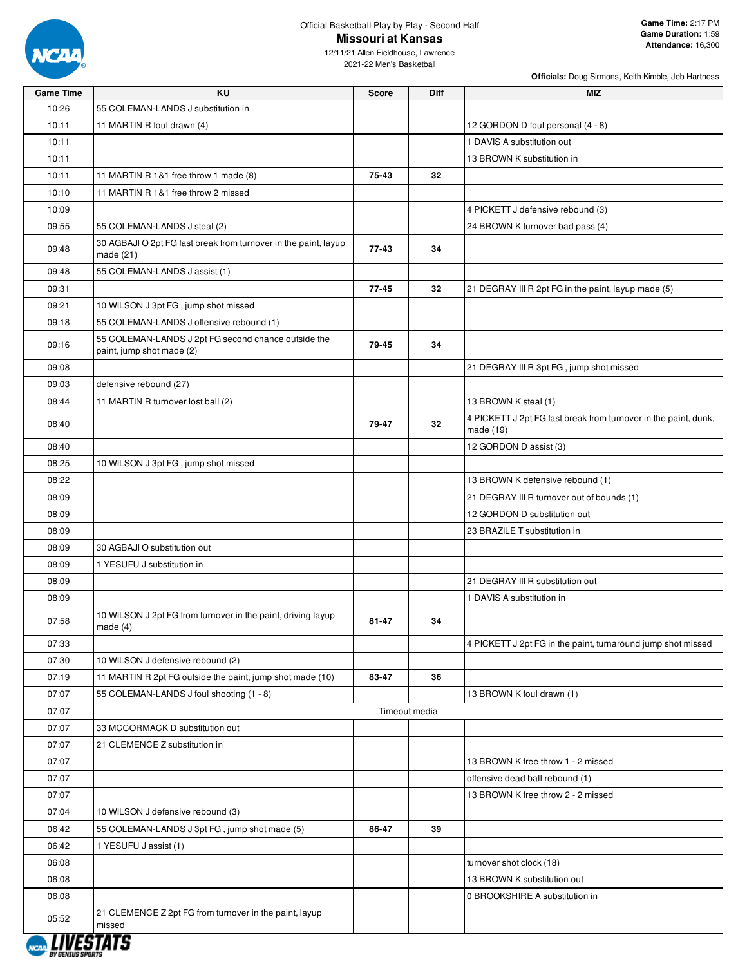

12/11/21 Allen Fieldhouse, Lawrence 2021-22 Men's Basketball

| <b>Game Time</b> | KU                                                                               | <b>Score</b> | <b>Diff</b>   | <b>MIZ</b>                                                                   |
|------------------|----------------------------------------------------------------------------------|--------------|---------------|------------------------------------------------------------------------------|
| 10:26            | 55 COLEMAN-LANDS J substitution in                                               |              |               |                                                                              |
| 10:11            | 11 MARTIN R foul drawn (4)                                                       |              |               | 12 GORDON D foul personal (4 - 8)                                            |
| 10:11            |                                                                                  |              |               | 1 DAVIS A substitution out                                                   |
| 10:11            |                                                                                  |              |               | 13 BROWN K substitution in                                                   |
| 10:11            | 11 MARTIN R 1&1 free throw 1 made (8)                                            | 75-43        | 32            |                                                                              |
| 10:10            | 11 MARTIN R 1&1 free throw 2 missed                                              |              |               |                                                                              |
| 10:09            |                                                                                  |              |               | 4 PICKETT J defensive rebound (3)                                            |
| 09:55            | 55 COLEMAN-LANDS J steal (2)                                                     |              |               | 24 BROWN K turnover bad pass (4)                                             |
| 09:48            | 30 AGBAJI O 2pt FG fast break from turnover in the paint, layup<br>made (21)     | $77-43$      | 34            |                                                                              |
| 09:48            | 55 COLEMAN-LANDS J assist (1)                                                    |              |               |                                                                              |
| 09:31            |                                                                                  | 77-45        | 32            | 21 DEGRAY III R 2pt FG in the paint, layup made (5)                          |
| 09:21            | 10 WILSON J 3pt FG, jump shot missed                                             |              |               |                                                                              |
| 09:18            | 55 COLEMAN-LANDS J offensive rebound (1)                                         |              |               |                                                                              |
| 09:16            | 55 COLEMAN-LANDS J 2pt FG second chance outside the<br>paint, jump shot made (2) | 79-45        | 34            |                                                                              |
| 09:08            |                                                                                  |              |               | 21 DEGRAY III R 3pt FG, jump shot missed                                     |
| 09:03            | defensive rebound (27)                                                           |              |               |                                                                              |
| 08:44            | 11 MARTIN R turnover lost ball (2)                                               |              |               | 13 BROWN K steal (1)                                                         |
| 08:40            |                                                                                  | 79-47        | 32            | 4 PICKETT J 2pt FG fast break from turnover in the paint, dunk,<br>made (19) |
| 08:40            |                                                                                  |              |               | 12 GORDON D assist (3)                                                       |
| 08:25            | 10 WILSON J 3pt FG, jump shot missed                                             |              |               |                                                                              |
| 08:22            |                                                                                  |              |               | 13 BROWN K defensive rebound (1)                                             |
| 08:09            |                                                                                  |              |               | 21 DEGRAY III R turnover out of bounds (1)                                   |
| 08:09            |                                                                                  |              |               | 12 GORDON D substitution out                                                 |
| 08:09            |                                                                                  |              |               | 23 BRAZILE T substitution in                                                 |
| 08:09            | 30 AGBAJI O substitution out                                                     |              |               |                                                                              |
| 08:09            | 1 YESUFU J substitution in                                                       |              |               |                                                                              |
| 08:09            |                                                                                  |              |               | 21 DEGRAY III R substitution out                                             |
| 08:09            |                                                                                  |              |               | 1 DAVIS A substitution in                                                    |
| 07:58            | 10 WILSON J 2pt FG from turnover in the paint, driving layup<br>made $(4)$       | 81-47        | 34            |                                                                              |
| 07:33            |                                                                                  |              |               | 4 PICKETT J 2pt FG in the paint, turnaround jump shot missed                 |
| 07:30            | 10 WILSON J defensive rebound (2)                                                |              |               |                                                                              |
| 07:19            | 11 MARTIN R 2pt FG outside the paint, jump shot made (10)                        | 83-47        | 36            |                                                                              |
| 07:07            | 55 COLEMAN-LANDS J foul shooting (1 - 8)                                         |              |               | 13 BROWN K foul drawn (1)                                                    |
|                  |                                                                                  |              | Timeout media |                                                                              |
| 07:07<br>07:07   | 33 MCCORMACK D substitution out                                                  |              |               |                                                                              |
|                  | 21 CLEMENCE Z substitution in                                                    |              |               |                                                                              |
| 07:07            |                                                                                  |              |               |                                                                              |
| 07:07            |                                                                                  |              |               | 13 BROWN K free throw 1 - 2 missed                                           |
| 07:07            |                                                                                  |              |               | offensive dead ball rebound (1)                                              |
| 07:07            |                                                                                  |              |               | 13 BROWN K free throw 2 - 2 missed                                           |
| 07:04            | 10 WILSON J defensive rebound (3)                                                |              |               |                                                                              |
| 06:42            | 55 COLEMAN-LANDS J 3pt FG, jump shot made (5)                                    | 86-47        | 39            |                                                                              |
| 06:42            | 1 YESUFU J assist (1)                                                            |              |               |                                                                              |
| 06:08            |                                                                                  |              |               | turnover shot clock (18)                                                     |
| 06:08            |                                                                                  |              |               | 13 BROWN K substitution out                                                  |
| 06:08            |                                                                                  |              |               | 0 BROOKSHIRE A substitution in                                               |
| 05:52            | 21 CLEMENCE Z 2pt FG from turnover in the paint, layup<br>missed<br>——           |              |               |                                                                              |

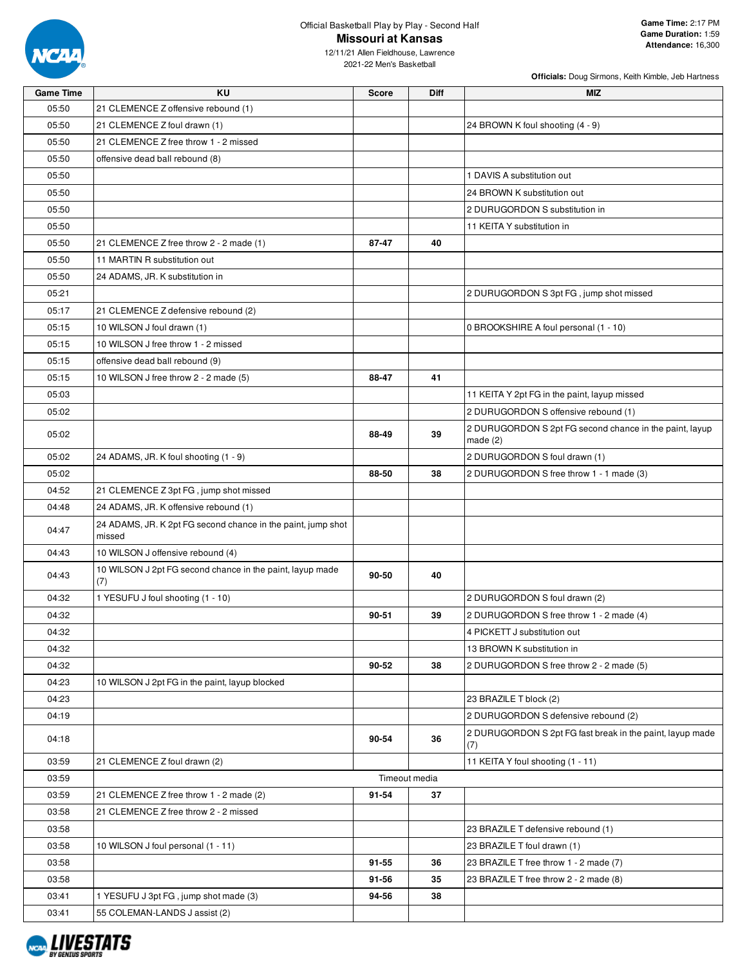

**Officials:** Doug Sirmons, Keith Kimble, Jeb Hartness

2021-22 Men's Basketball

| <b>Game Time</b> | KU                                                                     | <b>Score</b>  | Diff | MIZ                                                                 |
|------------------|------------------------------------------------------------------------|---------------|------|---------------------------------------------------------------------|
| 05:50            | 21 CLEMENCE Z offensive rebound (1)                                    |               |      |                                                                     |
| 05:50            | 21 CLEMENCE Z foul drawn (1)                                           |               |      | 24 BROWN K foul shooting (4 - 9)                                    |
| 05:50            | 21 CLEMENCE Z free throw 1 - 2 missed                                  |               |      |                                                                     |
| 05:50            | offensive dead ball rebound (8)                                        |               |      |                                                                     |
| 05:50            |                                                                        |               |      | 1 DAVIS A substitution out                                          |
| 05:50            |                                                                        |               |      | 24 BROWN K substitution out                                         |
| 05:50            |                                                                        |               |      | 2 DURUGORDON S substitution in                                      |
| 05:50            |                                                                        |               |      | 11 KEITA Y substitution in                                          |
| 05:50            | 21 CLEMENCE Z free throw 2 - 2 made (1)                                | 87-47         | 40   |                                                                     |
| 05:50            | 11 MARTIN R substitution out                                           |               |      |                                                                     |
| 05:50            | 24 ADAMS, JR. K substitution in                                        |               |      |                                                                     |
| 05:21            |                                                                        |               |      | 2 DURUGORDON S 3pt FG, jump shot missed                             |
| 05:17            | 21 CLEMENCE Z defensive rebound (2)                                    |               |      |                                                                     |
| 05:15            | 10 WILSON J foul drawn (1)                                             |               |      | 0 BROOKSHIRE A foul personal (1 - 10)                               |
| 05:15            | 10 WILSON J free throw 1 - 2 missed                                    |               |      |                                                                     |
| 05:15            | offensive dead ball rebound (9)                                        |               |      |                                                                     |
| 05:15            | 10 WILSON J free throw 2 - 2 made (5)                                  | 88-47         | 41   |                                                                     |
| 05:03            |                                                                        |               |      | 11 KEITA Y 2pt FG in the paint, layup missed                        |
| 05:02            |                                                                        |               |      | 2 DURUGORDON S offensive rebound (1)                                |
| 05:02            |                                                                        | 88-49         | 39   | 2 DURUGORDON S 2pt FG second chance in the paint, layup<br>made (2) |
| 05:02            | 24 ADAMS, JR. K foul shooting (1 - 9)                                  |               |      | 2 DURUGORDON S foul drawn (1)                                       |
| 05:02            |                                                                        | 88-50         | 38   | 2 DURUGORDON S free throw 1 - 1 made (3)                            |
| 04:52            | 21 CLEMENCE Z 3pt FG, jump shot missed                                 |               |      |                                                                     |
| 04:48            | 24 ADAMS, JR. K offensive rebound (1)                                  |               |      |                                                                     |
| 04:47            | 24 ADAMS, JR. K 2pt FG second chance in the paint, jump shot<br>missed |               |      |                                                                     |
| 04:43            | 10 WILSON J offensive rebound (4)                                      |               |      |                                                                     |
| 04:43            | 10 WILSON J 2pt FG second chance in the paint, layup made<br>(7)       | 90-50         | 40   |                                                                     |
| 04:32            | 1 YESUFU J foul shooting (1 - 10)                                      |               |      | 2 DURUGORDON S foul drawn (2)                                       |
| 04:32            |                                                                        | 90-51         | 39   | 2 DURUGORDON S free throw 1 - 2 made (4)                            |
| 04:32            |                                                                        |               |      | 4 PICKETT J substitution out                                        |
| 04:32            |                                                                        |               |      | 13 BROWN K substitution in                                          |
| 04:32            |                                                                        | 90-52         | 38   | 2 DURUGORDON S free throw 2 - 2 made (5)                            |
| 04:23            | 10 WILSON J 2pt FG in the paint, layup blocked                         |               |      |                                                                     |
| 04:23            |                                                                        |               |      | 23 BRAZILE T block (2)                                              |
| 04:19            |                                                                        |               |      | 2 DURUGORDON S defensive rebound (2)                                |
| 04:18            |                                                                        | 90-54         | 36   | 2 DURUGORDON S 2pt FG fast break in the paint, layup made<br>(7)    |
| 03:59            | 21 CLEMENCE Z foul drawn (2)                                           |               |      | 11 KEITA Y foul shooting (1 - 11)                                   |
| 03:59            |                                                                        | Timeout media |      |                                                                     |
| 03:59            | 21 CLEMENCE Z free throw 1 - 2 made (2)                                | 91-54         | 37   |                                                                     |
| 03:58            | 21 CLEMENCE Z free throw 2 - 2 missed                                  |               |      |                                                                     |
| 03:58            |                                                                        |               |      | 23 BRAZILE T defensive rebound (1)                                  |
| 03:58            | 10 WILSON J foul personal (1 - 11)                                     |               |      | 23 BRAZILE T foul drawn (1)                                         |
| 03:58            |                                                                        | 91-55         | 36   | 23 BRAZILE T free throw 1 - 2 made (7)                              |
| 03:58            |                                                                        | 91-56         | 35   | 23 BRAZILE T free throw 2 - 2 made (8)                              |
| 03:41            | 1 YESUFU J 3pt FG, jump shot made (3)                                  | 94-56         | 38   |                                                                     |
| 03:41            | 55 COLEMAN-LANDS J assist (2)                                          |               |      |                                                                     |

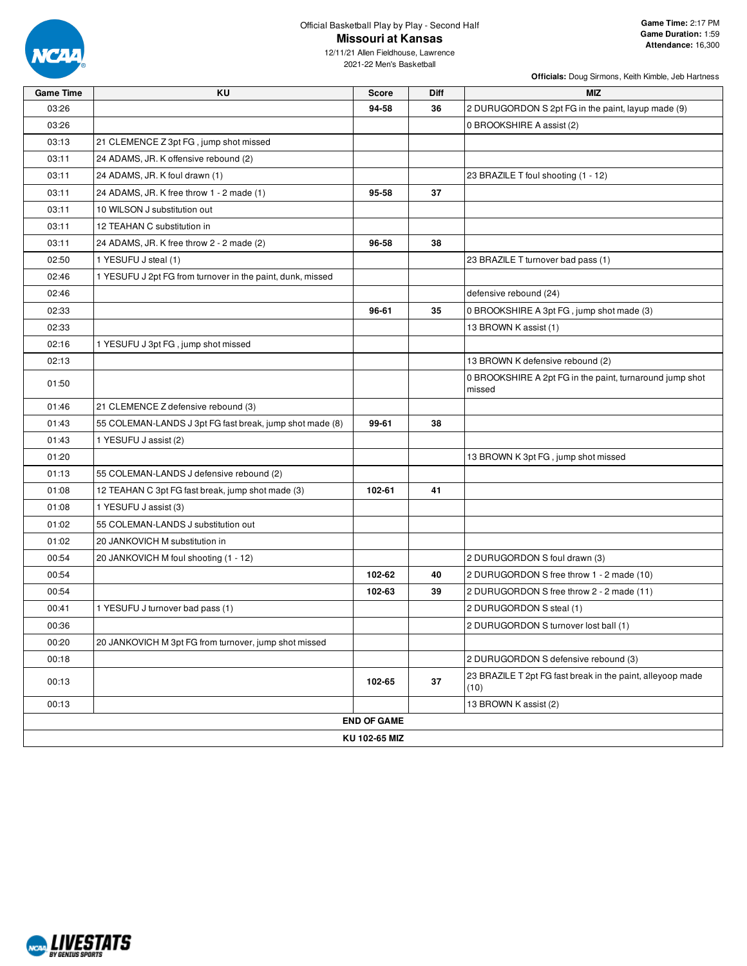

12/11/21 Allen Fieldhouse, Lawrence 2021-22 Men's Basketball

**Game Time KU Score Diff MIZ**

| 03:26 |                                                            | 94-58              | 36 | 2 DURUGORDON S 2pt FG in the paint, layup made (9)                 |
|-------|------------------------------------------------------------|--------------------|----|--------------------------------------------------------------------|
| 03:26 |                                                            |                    |    | 0 BROOKSHIRE A assist (2)                                          |
| 03:13 | 21 CLEMENCE Z 3pt FG, jump shot missed                     |                    |    |                                                                    |
| 03:11 | 24 ADAMS, JR. K offensive rebound (2)                      |                    |    |                                                                    |
| 03:11 | 24 ADAMS, JR. K foul drawn (1)                             |                    |    | 23 BRAZILE T foul shooting (1 - 12)                                |
| 03:11 | 24 ADAMS, JR. K free throw 1 - 2 made (1)                  | 95-58              | 37 |                                                                    |
| 03:11 | 10 WILSON J substitution out                               |                    |    |                                                                    |
| 03:11 | 12 TEAHAN C substitution in                                |                    |    |                                                                    |
| 03:11 | 24 ADAMS, JR. K free throw 2 - 2 made (2)                  | 96-58              | 38 |                                                                    |
| 02:50 | 1 YESUFU J steal (1)                                       |                    |    | 23 BRAZILE T turnover bad pass (1)                                 |
| 02:46 | 1 YESUFU J 2pt FG from turnover in the paint, dunk, missed |                    |    |                                                                    |
| 02:46 |                                                            |                    |    | defensive rebound (24)                                             |
| 02:33 |                                                            | 96-61              | 35 | 0 BROOKSHIRE A 3pt FG, jump shot made (3)                          |
| 02:33 |                                                            |                    |    | 13 BROWN K assist (1)                                              |
| 02:16 | 1 YESUFU J 3pt FG, jump shot missed                        |                    |    |                                                                    |
| 02:13 |                                                            |                    |    | 13 BROWN K defensive rebound (2)                                   |
| 01:50 |                                                            |                    |    | 0 BROOKSHIRE A 2pt FG in the paint, turnaround jump shot<br>missed |
| 01:46 | 21 CLEMENCE Z defensive rebound (3)                        |                    |    |                                                                    |
| 01:43 | 55 COLEMAN-LANDS J 3pt FG fast break, jump shot made (8)   | 99-61              | 38 |                                                                    |
| 01:43 | 1 YESUFU J assist (2)                                      |                    |    |                                                                    |
| 01:20 |                                                            |                    |    | 13 BROWN K 3pt FG, jump shot missed                                |
| 01:13 | 55 COLEMAN-LANDS J defensive rebound (2)                   |                    |    |                                                                    |
| 01:08 | 12 TEAHAN C 3pt FG fast break, jump shot made (3)          | 102-61             | 41 |                                                                    |
| 01:08 | 1 YESUFU J assist (3)                                      |                    |    |                                                                    |
| 01:02 | 55 COLEMAN-LANDS J substitution out                        |                    |    |                                                                    |
| 01:02 | 20 JANKOVICH M substitution in                             |                    |    |                                                                    |
| 00:54 | 20 JANKOVICH M foul shooting (1 - 12)                      |                    |    | 2 DURUGORDON S foul drawn (3)                                      |
| 00:54 |                                                            | 102-62             | 40 | 2 DURUGORDON S free throw 1 - 2 made (10)                          |
| 00:54 |                                                            | 102-63             | 39 | 2 DURUGORDON S free throw 2 - 2 made (11)                          |
| 00:41 | 1 YESUFU J turnover bad pass (1)                           |                    |    | 2 DURUGORDON S steal (1)                                           |
| 00:36 |                                                            |                    |    | 2 DURUGORDON S turnover lost ball (1)                              |
| 00:20 | 20 JANKOVICH M 3pt FG from turnover, jump shot missed      |                    |    |                                                                    |
| 00:18 |                                                            |                    |    | 2 DURUGORDON S defensive rebound (3)                               |
| 00:13 |                                                            | 102-65             | 37 | 23 BRAZILE T 2pt FG fast break in the paint, alleyoop made<br>(10) |
| 00:13 |                                                            |                    |    | 13 BROWN K assist (2)                                              |
|       |                                                            | <b>END OF GAME</b> |    |                                                                    |

**KU 102-65 MIZ**

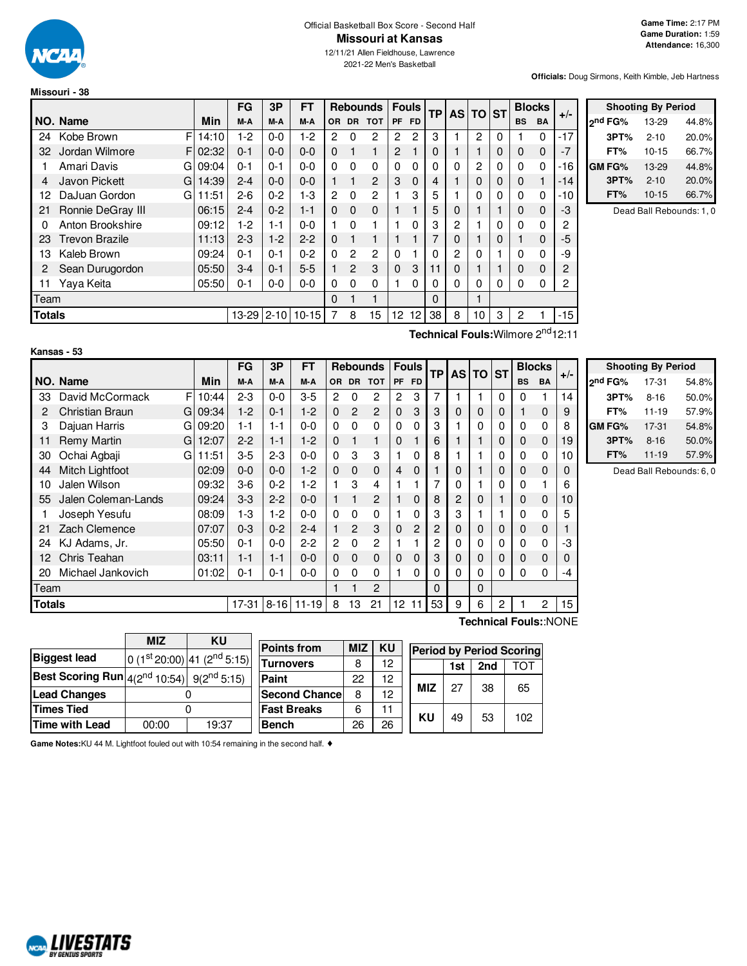

#### Official Basketball Box Score - Second Half **Missouri at Kansas**

12/11/21 Allen Fieldhouse, Lawrence 2021-22 Men's Basketball

**Officials:** Doug Sirmons, Keith Kimble, Jeb Hartness

|               |                       |         | FG      | 3P       | FТ        |           |              | <b>Rebounds</b> |                | <b>Fouls</b>    | <b>TP</b> | AS TO ST |    |   | <b>Blocks</b>  |             |       |
|---------------|-----------------------|---------|---------|----------|-----------|-----------|--------------|-----------------|----------------|-----------------|-----------|----------|----|---|----------------|-------------|-------|
|               | NO. Name              | Min     | M-A     | M-A      | M-A       | <b>OR</b> | DR.          | <b>TOT</b>      | <b>PF</b>      | FD.             |           |          |    |   | <b>BS</b>      | <b>BA</b>   | $+/-$ |
| 24            | F<br>Kobe Brown       | 14:10   | $1-2$   | $0-0$    | 1-2       | 2         | 0            | 2               | 2              | 2               | 3         |          | 2  | 0 |                | 0           | $-17$ |
| 32            | Jordan Wilmore        | F102:32 | $0 - 1$ | $0 - 0$  | $0 - 0$   | $\Omega$  |              | 1               | $\overline{2}$ |                 | $\Omega$  |          | 1  | 0 | $\Omega$       | $\mathbf 0$ | $-7$  |
|               | Amari Davis<br>GI     | 09:04   | $0 - 1$ | $0 - 1$  | $0 - 0$   | $\Omega$  | 0            | 0               | $\Omega$       | 0               | $\Omega$  | 0        | 2  | 0 | $\Omega$       | $\Omega$    | $-16$ |
| 4             | Javon Pickett<br>Gl   | 14:39   | $2 - 4$ | $0 - 0$  | $0 - 0$   |           |              | $\overline{2}$  | 3              | $\Omega$        | 4         |          | 0  | 0 | $\Omega$       |             | $-14$ |
| 12            | DaJuan Gordon<br>GI   | 11:51   | $2-6$   | $0 - 2$  | 1-3       | 2         | 0            | 2               |                | 3               | 5         |          | 0  | 0 | $\Omega$       | 0           | -10   |
| 21            | Ronnie DeGray III     | 06:15   | $2 - 4$ | $0 - 2$  | $1 - 1$   | $\Omega$  | $\Omega$     | $\mathbf 0$     |                |                 | 5         | 0        |    |   | $\Omega$       | $\Omega$    | -3    |
| 0             | Anton Brookshire      | 09:12   | 1-2     | 1-1      | $0 - 0$   |           | 0            | 1               |                | 0               | 3         | 2        |    | 0 | $\Omega$       | 0           | 2     |
| 23            | <b>Trevon Brazile</b> | 11:13   | $2 - 3$ | $1 - 2$  | $2 - 2$   | $\Omega$  |              | 1               |                |                 | 7         | 0        |    | 0 |                | $\Omega$    | -5    |
| 13            | Kaleb Brown           | 09:24   | $0 - 1$ | $0 - 1$  | $0 - 2$   | $\Omega$  | 2            | 2               | $\Omega$       |                 | $\Omega$  | 2        | 0  |   | $\Omega$       | $\Omega$    | -9    |
| 2             | Sean Durugordon       | 05:50   | $3 - 4$ | $0 - 1$  | $5-5$     |           | $\mathbf{2}$ | 3               | $\Omega$       | 3               | 11        | 0        |    |   | $\Omega$       | $\Omega$    | 2     |
| 11            | Yaya Keita            | 05:50   | $0 - 1$ | $0 - 0$  | $0 - 0$   | 0         | 0            | 0               |                | 0               | 0         | 0        | 0  | 0 | 0              | 0           | 2     |
| Team          |                       |         |         |          |           | $\Omega$  |              | 1               |                |                 | $\Omega$  |          | 1  |   |                |             |       |
| <b>Totals</b> |                       |         |         | $2 - 10$ | $10 - 15$ | 7         | 8            | 15              | 12             | 12 <sub>1</sub> | 38        | 8        | 10 | 3 | $\overline{c}$ |             | -15   |

| <b>Shooting By Period</b> |           |       |  |  |  |  |  |  |  |
|---------------------------|-----------|-------|--|--|--|--|--|--|--|
| ond FG%                   | 13-29     | 44.8% |  |  |  |  |  |  |  |
| 3PT%                      | $2 - 10$  | 20.0% |  |  |  |  |  |  |  |
| FT%                       | $10 - 15$ | 66.7% |  |  |  |  |  |  |  |
| GM FG%                    | 13-29     | 44.8% |  |  |  |  |  |  |  |
| 3PT%                      | $2 - 10$  | 20.0% |  |  |  |  |  |  |  |
| FT%                       | $10 - 15$ | 66.7% |  |  |  |  |  |  |  |

Dead Ball Rebounds: 1, 0

| Kansas | 53 |  |
|--------|----|--|
|--------|----|--|

**Technical Fouls:**Wilmore 2<sup>nd</sup>12:11

**Technical Fouls:**:NONE

|               |                          |       | <b>FG</b> | 3P       | FT        | <b>Rebounds</b> |                | <b>Fouls</b>   |             | TP             |                |                |          | <b>AS TO</b> |           | <b>ST</b>    |    | <b>Blocks</b> | $+/-$ |  |
|---------------|--------------------------|-------|-----------|----------|-----------|-----------------|----------------|----------------|-------------|----------------|----------------|----------------|----------|--------------|-----------|--------------|----|---------------|-------|--|
|               | NO. Name                 | Min   | M-A       | M-A      | M-A       | OR.             |                | DR TOT         |             | PF FD          |                |                |          |              | <b>BS</b> | <b>BA</b>    |    |               |       |  |
| 33            | F<br>David McCormack     | 10:44 | $2 - 3$   | $0 - 0$  | $3-5$     | 2               | 0              | 2              | 2           | 3              | 7              |                |          | 0            | 0         |              | 14 |               |       |  |
|               | Christian Braun<br>Gl    | 09:34 | $1 - 2$   | $0 - 1$  | $1-2$     | 0               | $\overline{2}$ | $\overline{c}$ | $\Omega$    | 3              | 3              | $\Omega$       | 0        | 0            |           | $\Omega$     | 9  |               |       |  |
| 3             | Dajuan Harris<br>GI      | 09:20 | $1 - 1$   | $1 - 1$  | $0 - 0$   | 0               | 0              | 0              | $\Omega$    | 0              | 3              |                | 0        | 0            | 0         | $\Omega$     | 8  |               |       |  |
| 11            | <b>Remy Martin</b><br>GI | 12:07 | $2 - 2$   | $1 - 1$  | $1-2$     | $\Omega$        |                | 1              | $\Omega$    |                | 6              |                |          | $\mathbf 0$  | 0         | $\Omega$     | 19 |               |       |  |
| 30            | Ochai Agbaji<br>G        | 11:51 | $3-5$     | $2 - 3$  | $0 - 0$   | 0               | 3              | 3              |             | 0              | 8              |                |          | 0            | 0         | 0            | 10 |               |       |  |
| 44            | Mitch Lightfoot          | 02:09 | $0 - 0$   | $0 - 0$  | $1-2$     | 0               | $\Omega$       | $\mathbf 0$    | 4           | $\Omega$       |                | $\Omega$       |          | 0            | 0         | $\Omega$     | 0  |               |       |  |
| 10            | Jalen Wilson             | 09:32 | $3-6$     | $0 - 2$  | $1-2$     |                 | 3              | 4              |             |                | 7              | $\Omega$       |          | $\Omega$     | 0         |              | 6  |               |       |  |
| 55            | Jalen Coleman-Lands      | 09:24 | $3-3$     | $2 - 2$  | $0 - 0$   |                 |                | $\overline{2}$ |             | $\Omega$       | 8              | $\overline{c}$ | $\Omega$ |              | 0         | $\Omega$     | 10 |               |       |  |
|               | Joseph Yesufu            | 08:09 | $1-3$     | $1-2$    | $0 - 0$   | 0               | 0              | 0              |             | 0              | 3              | 3              |          |              | 0         | $\Omega$     | 5  |               |       |  |
| 21            | Zach Clemence            | 07:07 | $0 - 3$   | $0 - 2$  | $2 - 4$   |                 | $\overline{2}$ | 3              | $\Omega$    | $\overline{2}$ | $\overline{2}$ | $\mathbf 0$    | 0        | $\Omega$     | 0         | $\Omega$     |    |               |       |  |
| 24            | KJ Adams, Jr.            | 05:50 | $0 - 1$   | $0 - 0$  | $2 - 2$   | $\overline{2}$  | $\Omega$       | $\overline{c}$ |             |                | 2              | $\mathbf{0}$   | 0        | 0            | 0         | $\Omega$     | -3 |               |       |  |
| 12            | Chris Teahan             | 03:11 | $1 - 1$   | $1 - 1$  | $0-0$     | 0               | $\mathbf 0$    | $\mathbf 0$    | $\mathbf 0$ | $\mathbf 0$    | 3              | $\mathbf 0$    | 0        | $\Omega$     | 0         | $\Omega$     | 0  |               |       |  |
| 20            | Michael Jankovich        | 01:02 | $0 - 1$   | $0 - 1$  | $0 - 0$   | 0               | $\Omega$       | $\Omega$       |             | 0              | 0              | $\Omega$       | 0        | 0            | $\Omega$  | $\Omega$     | -4 |               |       |  |
| Team          |                          |       |           |          |           |                 |                | $\overline{2}$ |             |                | $\Omega$       |                | 0        |              |           |              |    |               |       |  |
| <b>Totals</b> |                          |       | $17-31$   | $8 - 16$ | $11 - 19$ | 8               | 13             | 21             | 12          | 11             | 53             | 9              | 6        | 2            |           | $\mathbf{2}$ | 15 |               |       |  |

| <b>Shooting By Period</b> |           |       |  |  |  |  |  |  |  |  |
|---------------------------|-----------|-------|--|--|--|--|--|--|--|--|
| 2 <sup>nd</sup> FG%       | 17-31     | 54.8% |  |  |  |  |  |  |  |  |
| 50.0%<br>3PT%<br>$8 - 16$ |           |       |  |  |  |  |  |  |  |  |
| FT%                       | $11 - 19$ | 57.9% |  |  |  |  |  |  |  |  |
| GM FG%                    | 17-31     | 54.8% |  |  |  |  |  |  |  |  |
| 3PT%                      | $8 - 16$  | 50.0% |  |  |  |  |  |  |  |  |
| 57.9%<br>FT%<br>$11 - 19$ |           |       |  |  |  |  |  |  |  |  |

Dead Ball Rebounds: 6, 0

|                                                                     | <b>MIZ</b> | ΚU                                      |  |  |  |
|---------------------------------------------------------------------|------------|-----------------------------------------|--|--|--|
| <b>Biggest lead</b>                                                 |            | $0(1st20:00)$ 41 (2 <sup>nd</sup> 5:15) |  |  |  |
| <b>Best Scoring Run</b> $ 4(2^{nd} 10:54) $ 9(2 <sup>nd</sup> 5:15) |            |                                         |  |  |  |
| <b>Lead Changes</b>                                                 |            |                                         |  |  |  |
| <b>Times Tied</b>                                                   |            |                                         |  |  |  |
| Time with Lead                                                      | 00:00      | 19:37                                   |  |  |  |

| <b>Points from</b>    | <b>MIZ</b> | KU |                                                                                                        |  |  |  |  |
|-----------------------|------------|----|--------------------------------------------------------------------------------------------------------|--|--|--|--|
| Turnovers             | 8          | 12 | <b>Period by Period Scoring</b><br>2nd<br>1st<br><b>MIZ</b><br>27<br>38<br>65<br>KU<br>53<br>49<br>102 |  |  |  |  |
| Paint                 | 22         | 12 |                                                                                                        |  |  |  |  |
| <b>Second Chancel</b> | 8          | 12 |                                                                                                        |  |  |  |  |
| <b>Fast Breaks</b>    | 6          | 11 |                                                                                                        |  |  |  |  |
| <b>Bench</b>          | 26         | 26 |                                                                                                        |  |  |  |  |

**Game Notes:**KU 44 M. Lightfoot fouled out with 10:54 remaining in the second half. ♦

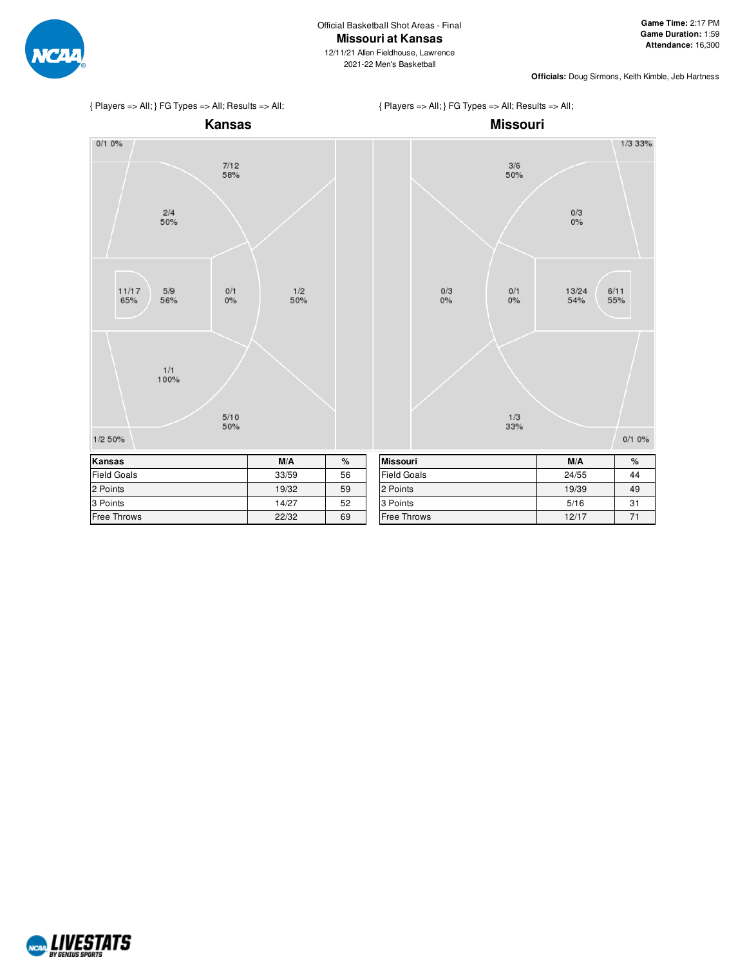

12/11/21 Allen Fieldhouse, Lawrence 2021-22 Men's Basketball







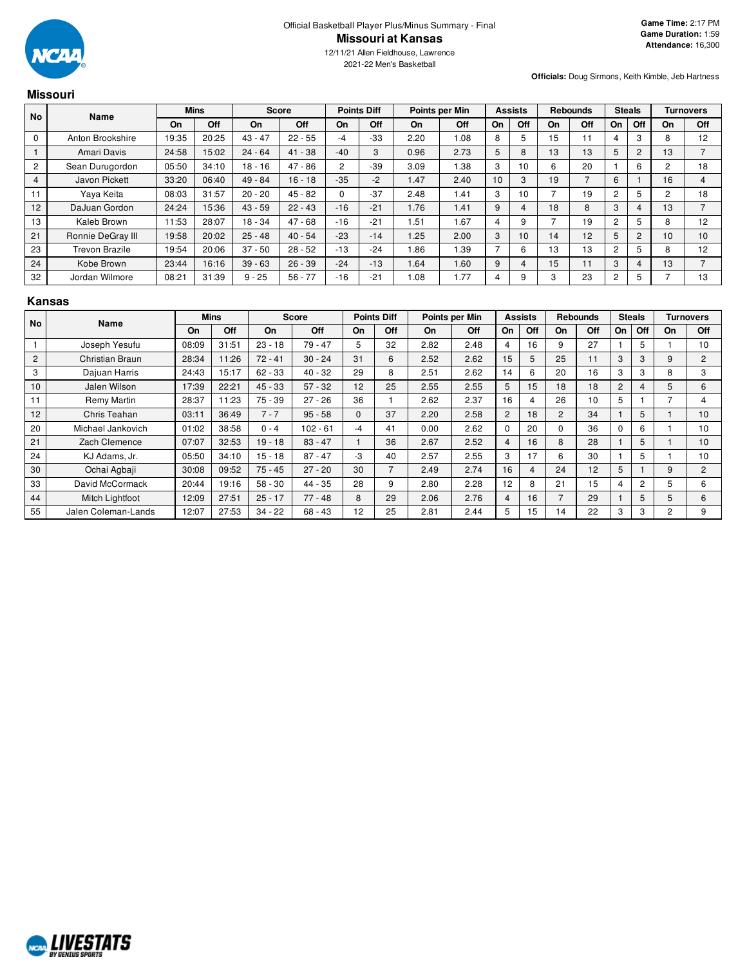

2021-22 Men's Basketball

**Officials:** Doug Sirmons, Keith Kimble, Jeb Hartness

# **Missouri**

| <b>No</b>      | Name                  |       | <b>Mins</b> |           | Score     |                | <b>Points Diff</b> |      | Points per Min |                | <b>Assists</b> |    | <b>Rebounds</b> |                | <b>Steals</b>  |    | <b>Turnovers</b> |
|----------------|-----------------------|-------|-------------|-----------|-----------|----------------|--------------------|------|----------------|----------------|----------------|----|-----------------|----------------|----------------|----|------------------|
|                |                       | On    | Off         | On        | Off       | On             | Off                | On   | Off            | On             | Off            | On | Off             | On             | Off            | On | Off              |
| $\mathbf 0$    | Anton Brookshire      | 19:35 | 20:25       | $43 - 47$ | $22 - 55$ | -4             | $-33$              | 2.20 | 1.08           | 8              | 5              | 15 | 11              | 4              |                | 8  | 12               |
|                | Amari Davis           | 24:58 | 15:02       | $24 - 64$ | $41 - 38$ | $-40$          | 3                  | 0.96 | 2.73           | 5              | 8              | 13 | 13              | 5              | $\overline{2}$ | 13 |                  |
| $\overline{2}$ | Sean Durugordon       | 05:50 | 34:10       | $18 - 16$ | $47 - 86$ | $\overline{2}$ | $-39$              | 3.09 | 1.38           | 3              | 10             | 6  | 20              |                | 6              | 2  | 18               |
| $\overline{4}$ | Javon Pickett         | 33:20 | 06:40       | 49 - 84   | $16 - 18$ | $-35$          | $-2$               | 1.47 | 2.40           | 10             | 3              | 19 |                 | 6              |                | 16 | 4                |
| 11             | Yaya Keita            | 08:03 | 31:57       | $20 - 20$ | $45 - 82$ | 0              | $-37$              | 2.48 | 1.41           | 3              | 10             |    | 19              | 2              | 5              | 2  | 18               |
| 12             | DaJuan Gordon         | 24:24 | 15:36       | $43 - 59$ | $22 - 43$ | $-16$          | $-21$              | 1.76 | 1.41           | 9              | 4              | 18 | 8               | 3              |                | 13 |                  |
| 13             | Kaleb Brown           | 11:53 | 28:07       | 18 - 34   | $47 - 68$ | $-16$          | $-21$              | 1.51 | 1.67           | 4              | 9              |    | 19              | 2              | 5              | 8  | 12               |
| 21             | Ronnie DeGray III     | 19:58 | 20:02       | $25 - 48$ | $40 - 54$ | $-23$          | $-14$              | 1.25 | 2.00           | 3              | 10             | 14 | 12              | 5              | $\overline{2}$ | 10 | 10               |
| 23             | <b>Trevon Brazile</b> | 19:54 | 20:06       | $37 - 50$ | $28 - 52$ | $-13$          | $-24$              | .86  | 1.39           | $\overline{ }$ | 6              | 13 | 13              | $\overline{c}$ |                | 8  | 12               |
| 24             | Kobe Brown            | 23:44 | 16:16       | $39 - 63$ | $26 - 39$ | $-24$          | $-13$              | 1.64 | 1.60           | 9              | 4              | 15 | 11              | 3              |                | 13 |                  |
| 32             | Jordan Wilmore        | 08:21 | 31:39       | $9 - 25$  | $56 - 77$ | $-16$          | $-21$              | .08  | .77            | 4              | 9              | 3  | 23              | $\overline{2}$ | 5              |    | 13               |

# **Kansas**

| No | Name                |           | <b>Mins</b> |           | Score      |          | <b>Points Diff</b> |      | Points per Min |                 | <b>Assists</b> |                | <b>Rebounds</b> |                | <b>Steals</b> |                | <b>Turnovers</b> |
|----|---------------------|-----------|-------------|-----------|------------|----------|--------------------|------|----------------|-----------------|----------------|----------------|-----------------|----------------|---------------|----------------|------------------|
|    |                     | <b>On</b> | <b>Off</b>  | On        | Off        | On       | Off                | On   | Off            | On              | Off            | On             | Off             | On.            | Off           | On             | <b>Off</b>       |
|    | Joseph Yesufu       | 08:09     | 31:51       | $23 - 18$ | $79 - 47$  | 5        | 32                 | 2.82 | 2.48           | 4               | 16             | 9              | 27              |                | 5             |                | 10               |
| 2  | Christian Braun     | 28:34     | 11:26       | $72 - 41$ | $30 - 24$  | 31       | 6                  | 2.52 | 2.62           | 15              | 5              | 25             | 11              | 3              | 3             | 9              | $\overline{2}$   |
| 3  | Dajuan Harris       | 24:43     | 15:17       | $62 - 33$ | $40 - 32$  | 29       | 8                  | 2.51 | 2.62           | 14              | 6              | 20             | 16              | 3              | 3             | 8              | 3                |
| 10 | Jalen Wilson        | 17:39     | 22:21       | $45 - 33$ | $57 - 32$  | 12       | 25                 | 2.55 | 2.55           | 5               | 15             | 18             | 18              | $\overline{2}$ | 4             | 5              | 6                |
| 11 | Remy Martin         | 28:37     | 11:23       | $75 - 39$ | $27 - 26$  | 36       |                    | 2.62 | 2.37           | 16              | 4              | 26             | 10              | 5              |               |                | 4                |
| 12 | Chris Teahan        | 03:11     | 36:49       | $7 - 7$   | $95 - 58$  | $\Omega$ | 37                 | 2.20 | 2.58           | $\overline{2}$  | 18             | $\overline{2}$ | 34              |                | 5             |                | 10               |
| 20 | Michael Jankovich   | 01:02     | 38:58       | $0 - 4$   | $102 - 61$ | -4       | 41                 | 0.00 | 2.62           | $\Omega$        | 20             | <sup>0</sup>   | 36              | 0              | 6             |                | 10               |
| 21 | Zach Clemence       | 07:07     | 32:53       | $19 - 18$ | $83 - 47$  |          | 36                 | 2.67 | 2.52           | 4               | 16             | 8              | 28              |                | 5             |                | 10               |
| 24 | KJ Adams, Jr.       | 05:50     | 34:10       | $15 - 18$ | $87 - 47$  | -3       | 40                 | 2.57 | 2.55           | 3               | 17             | 6              | 30              |                | 5             |                | 10               |
| 30 | Ochai Agbaji        | 30:08     | 09:52       | $75 - 45$ | $27 - 20$  | 30       | $\overline{7}$     | 2.49 | 2.74           | 16 <sup>°</sup> | $\overline{4}$ | 24             | 12              | 5              |               | 9              | $\overline{2}$   |
| 33 | David McCormack     | 20:44     | 19:16       | $58 - 30$ | $44 - 35$  | 28       | 9                  | 2.80 | 2.28           | 12 <sup>2</sup> | 8              | 21             | 15              | 4              | 2             | 5              | 6                |
| 44 | Mitch Lightfoot     | 12:09     | 27:51       | $25 - 17$ | $77 - 48$  | 8        | 29                 | 2.06 | 2.76           | 4               | 16             | $\overline{ }$ | 29              |                | 5             | 5              | 6                |
| 55 | Jalen Coleman-Lands | 12:07     | 27:53       | $34 - 22$ | $68 - 43$  | 12       | 25                 | 2.81 | 2.44           | 5               | 15             | 14             | 22              | 3              | 3             | $\overline{2}$ | 9                |

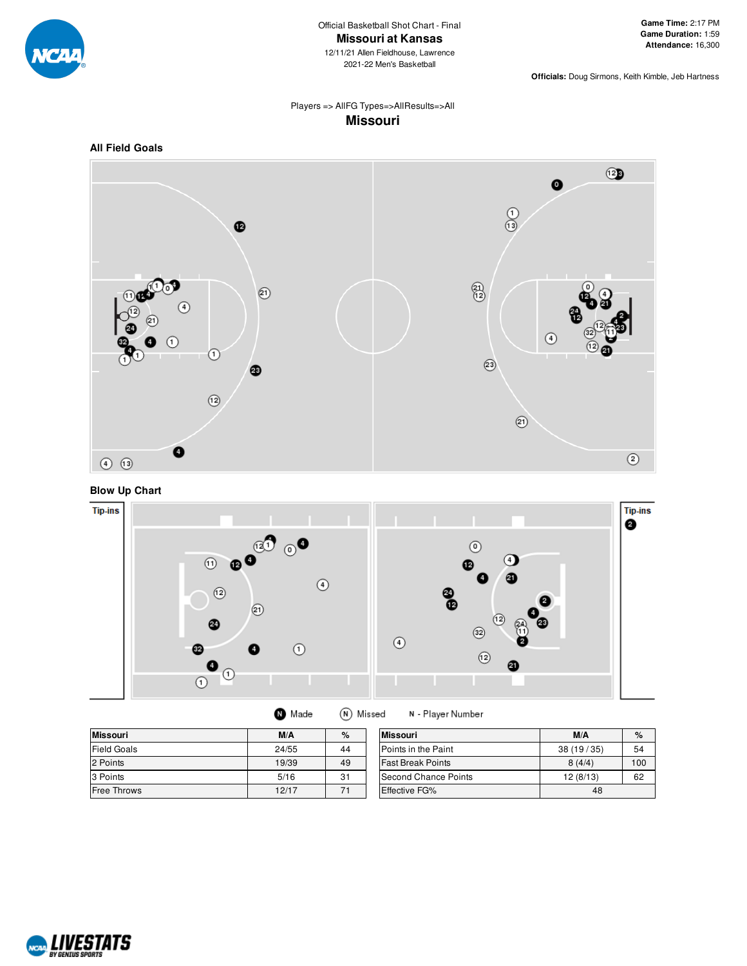

2021-22 Men's Basketball

**Officials:** Doug Sirmons, Keith Kimble, Jeb Hartness

# Players => AllFG Types=>AllResults=>All **Missouri**



**Blow Up Chart**



| <b>Missouri</b> | M/A   | %  | <b>Missouri</b>            | M/A       | %   |
|-----------------|-------|----|----------------------------|-----------|-----|
| Field Goals     | 24/55 | 44 | <b>Points in the Paint</b> | 38(19/35) | 54  |
| 2 Points        | 19/39 | 49 | <b>Fast Break Points</b>   | 8(4/4)    | 100 |
| 3 Points        | 5/16  | 31 | Second Chance Points       | 12(8/13)  | 62  |
| Free Throws     | 12/17 | 71 | <b>Effective FG%</b>       | 48        |     |

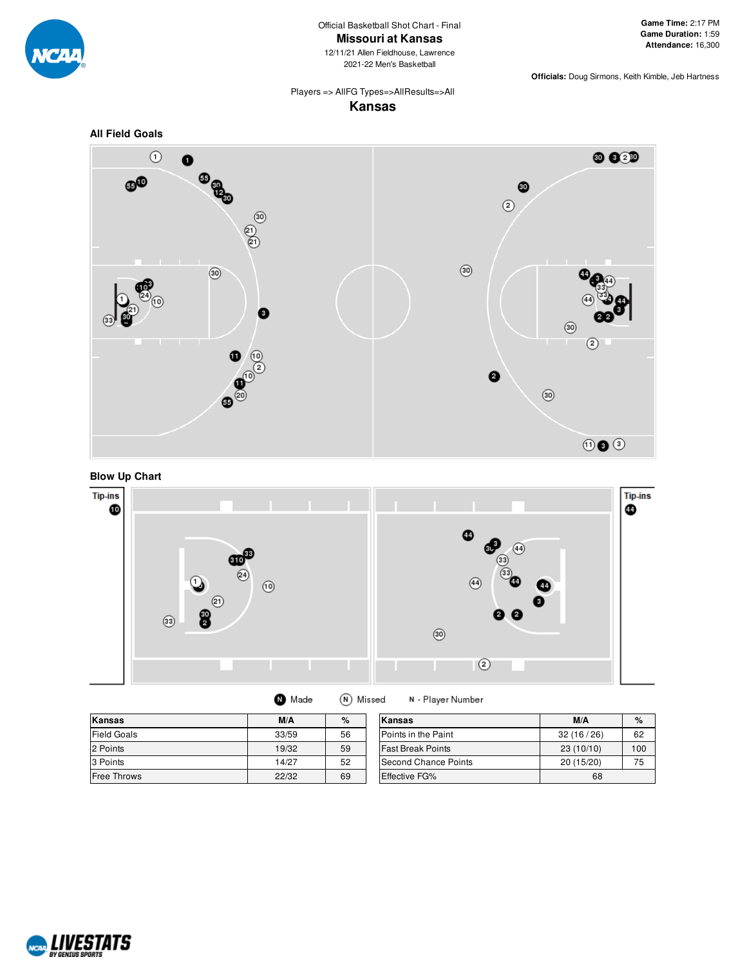

Official Basketball Shot Chart - Final **Missouri at Kansas**

12/11/21 Allen Fieldhouse, Lawrence 2021-22 Men's Basketball

**Officials:** Doug Sirmons, Keith Kimble, Jeb Hartness

# Players => AllFG Types=>AllResults=>All **Kansas**







| Made |  |  | (N) Missed |  |
|------|--|--|------------|--|
|------|--|--|------------|--|

N - Player Number

| <b>Kansas</b>      | M/A   | %  | Kansas                   | M/A        | $\%$ |
|--------------------|-------|----|--------------------------|------------|------|
| <b>Field Goals</b> | 33/59 | 56 | Points in the Paint      | 32(16/26)  | 62   |
| 2 Points           | 19/32 | 59 | <b>Fast Break Points</b> | 23(10/10)  | 100  |
| 3 Points           | 14/27 | 52 | Second Chance Points     | 20 (15/20) | 75   |
| <b>Free Throws</b> | 22/32 | 69 | <b>Effective FG%</b>     | 68         |      |

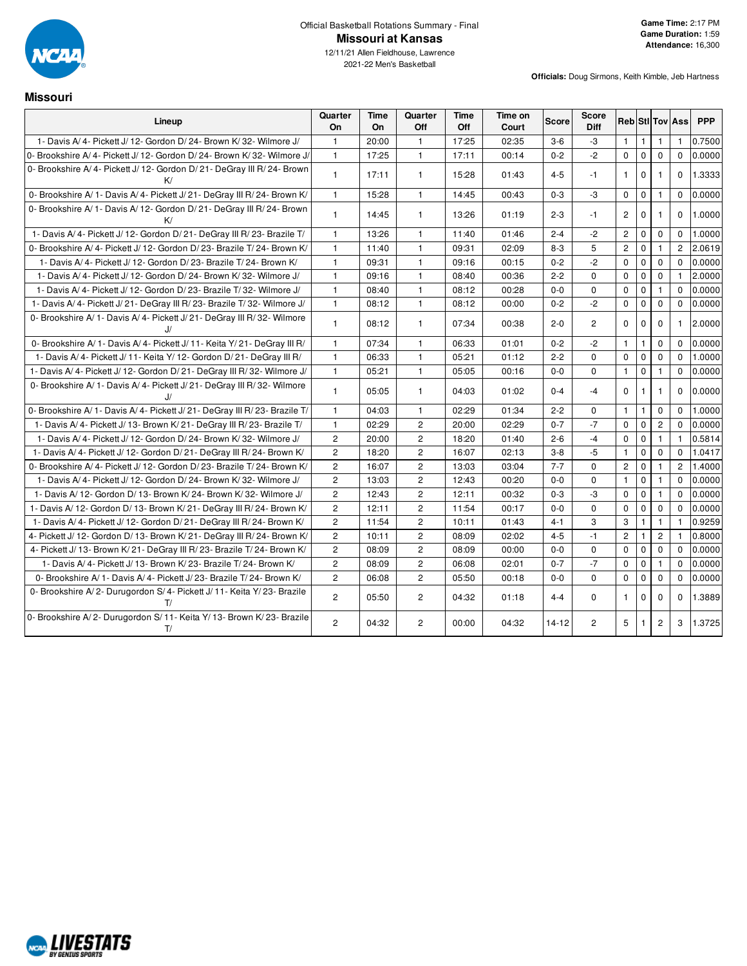

2021-22 Men's Basketball

**Missouri**

| Lineup                                                                         | Quarter<br>On  | Time<br>On | Quarter<br>Off | Time<br>Off | Time on<br>Court | Score   | Score<br><b>Diff</b> |                |              |                | <b>Reb Stl Tov Ass</b> | <b>PPP</b> |
|--------------------------------------------------------------------------------|----------------|------------|----------------|-------------|------------------|---------|----------------------|----------------|--------------|----------------|------------------------|------------|
| 1- Davis A/4- Pickett J/12- Gordon D/24- Brown K/32- Wilmore J/                | $\mathbf{1}$   | 20:00      | $\mathbf{1}$   | 17:25       | 02:35            | $3-6$   | -3                   | $\mathbf{1}$   | $\mathbf{1}$ | $\mathbf{1}$   | 1                      | 0.7500     |
| 0- Brookshire A/4- Pickett J/12- Gordon D/24- Brown K/32- Wilmore J/           | $\mathbf{1}$   | 17:25      | $\mathbf{1}$   | 17:11       | 00:14            | $0 - 2$ | $-2$                 | $\mathbf 0$    | $\mathbf 0$  | $\mathbf 0$    | $\Omega$               | 0.0000     |
| 0- Brookshire A/4- Pickett J/12- Gordon D/21- DeGray III R/24- Brown<br>K/     | $\mathbf{1}$   | 17:11      | $\mathbf{1}$   | 15:28       | 01:43            | $4 - 5$ | $-1$                 | $\mathbf{1}$   | $\mathbf 0$  | $\mathbf{1}$   | $\mathbf 0$            | 1.3333     |
| 0- Brookshire A/ 1- Davis A/ 4- Pickett J/ 21- DeGray III R/ 24- Brown K/      | $\mathbf{1}$   | 15:28      | $\mathbf{1}$   | 14:45       | 00:43            | $0 - 3$ | -3                   | $\mathbf 0$    | $\mathbf 0$  | $\mathbf{1}$   | $\Omega$               | 0.0000     |
| 0- Brookshire A/ 1- Davis A/ 12- Gordon D/ 21- DeGray III R/ 24- Brown<br>K/   | $\mathbf{1}$   | 14:45      | $\mathbf{1}$   | 13:26       | 01:19            | $2 - 3$ | $-1$                 | $\overline{2}$ | $\mathbf 0$  | $\mathbf{1}$   | $\Omega$               | 1.0000     |
| 1- Davis A/4- Pickett J/12- Gordon D/21- DeGray III R/23- Brazile T/           | $\mathbf{1}$   | 13:26      | $\mathbf{1}$   | 11:40       | 01:46            | $2 - 4$ | $-2$                 | $\overline{c}$ | $\mathbf 0$  | $\mathbf 0$    | $\mathbf 0$            | 1.0000     |
| 0- Brookshire A/4- Pickett J/12- Gordon D/23- Brazile T/24- Brown K/           | $\mathbf{1}$   | 11:40      | $\mathbf{1}$   | 09:31       | 02:09            | $8 - 3$ | 5                    | $\overline{2}$ | $\mathbf 0$  | $\mathbf{1}$   | $\overline{c}$         | 2.0619     |
| 1- Davis A/4- Pickett J/12- Gordon D/23- Brazile T/24- Brown K/                | 1              | 09:31      | $\mathbf{1}$   | 09:16       | 00:15            | $0 - 2$ | $-2$                 | $\mathbf 0$    | $\mathbf 0$  | $\mathbf 0$    | $\Omega$               | 0.0000     |
| 1- Davis A/4- Pickett J/12- Gordon D/24- Brown K/32- Wilmore J/                | 1              | 09:16      | $\mathbf{1}$   | 08:40       | 00:36            | $2 - 2$ | $\Omega$             | $\mathbf 0$    | $\mathbf 0$  | $\Omega$       |                        | 2.0000     |
| 1- Davis A/4- Pickett J/12- Gordon D/23- Brazile T/32- Wilmore J/              | 1              | 08:40      | $\mathbf{1}$   | 08:12       | 00:28            | $0 - 0$ | $\Omega$             | $\mathbf 0$    | $\mathbf 0$  | $\mathbf{1}$   | $\Omega$               | 0.0000     |
| 1- Davis A/4- Pickett J/21- DeGray III R/23- Brazile T/32- Wilmore J/          | $\mathbf{1}$   | 08:12      | $\mathbf{1}$   | 08:12       | 00:00            | $0 - 2$ | $-2$                 | $\mathbf 0$    | $\mathbf 0$  | $\mathbf 0$    | $\mathbf 0$            | 0.0000     |
| 0- Brookshire A/ 1- Davis A/ 4- Pickett J/ 21- DeGray III R/ 32- Wilmore<br>IJ | 1              | 08:12      | $\mathbf{1}$   | 07:34       | 00:38            | $2 - 0$ | $\overline{2}$       | $\Omega$       | $\mathbf{0}$ | $\Omega$       | $\mathbf{1}$           | 2.0000     |
| 0- Brookshire A/ 1- Davis A/ 4- Pickett J/ 11- Keita Y/ 21- DeGray III R/      | $\mathbf{1}$   | 07:34      | $\mathbf{1}$   | 06:33       | 01:01            | $0 - 2$ | $-2$                 | $\mathbf{1}$   | $\mathbf{1}$ | $\mathbf 0$    | $\Omega$               | 0.0000     |
| 1- Davis A/4- Pickett J/11- Keita Y/12- Gordon D/21- DeGray III R/             | $\mathbf{1}$   | 06:33      | $\mathbf{1}$   | 05:21       | 01:12            | $2 - 2$ | $\Omega$             | $\mathbf 0$    | $\mathbf 0$  | $\mathbf 0$    | $\Omega$               | 1.0000     |
| 1- Davis A/4- Pickett J/12- Gordon D/21- DeGray III R/32- Wilmore J/           | $\mathbf{1}$   | 05:21      | $\mathbf{1}$   | 05:05       | 00:16            | $0 - 0$ | $\Omega$             | $\mathbf{1}$   | $\mathbf 0$  | $\mathbf{1}$   | $\Omega$               | 0.0000     |
| 0- Brookshire A/ 1- Davis A/ 4- Pickett J/ 21- DeGray III R/ 32- Wilmore<br>J/ | $\mathbf{1}$   | 05:05      | $\mathbf{1}$   | 04:03       | 01:02            | $0 - 4$ | $-4$                 | $\mathbf 0$    | $\mathbf{1}$ | 1              | $\Omega$               | 0.0000     |
| 0- Brookshire A/ 1- Davis A/ 4- Pickett J/ 21- DeGray III R/ 23- Brazile T/    | $\mathbf{1}$   | 04:03      | $\mathbf{1}$   | 02:29       | 01:34            | $2 - 2$ | $\mathbf 0$          | $\mathbf{1}$   | $\mathbf{1}$ | $\mathbf 0$    | $\Omega$               | 1.0000     |
| 1- Davis A/4- Pickett J/13- Brown K/21- DeGray III R/23- Brazile T/            | $\mathbf{1}$   | 02:29      | $\overline{2}$ | 20:00       | 02:29            | $0 - 7$ | $-7$                 | $\mathbf 0$    | $\mathbf 0$  | $\overline{2}$ | $\Omega$               | 0.0000     |
| 1- Davis A/4- Pickett J/12- Gordon D/24- Brown K/32- Wilmore J/                | $\overline{c}$ | 20:00      | $\overline{c}$ | 18:20       | 01:40            | $2 - 6$ | $-4$                 | $\mathbf 0$    | $\mathbf 0$  | $\mathbf{1}$   | $\mathbf{1}$           | 0.5814     |
| 1- Davis A/4- Pickett J/12- Gordon D/21- DeGray III R/24- Brown K/             | $\overline{c}$ | 18:20      | $\overline{c}$ | 16:07       | 02:13            | $3-8$   | $-5$                 | $\mathbf{1}$   | $\mathbf 0$  | $\mathbf 0$    | $\Omega$               | 1.0417     |
| 0- Brookshire A/4- Pickett J/12- Gordon D/23- Brazile T/24- Brown K/           | $\overline{c}$ | 16:07      | 2              | 13:03       | 03:04            | $7 - 7$ | $\Omega$             | $\overline{2}$ | $\mathbf 0$  | $\mathbf{1}$   | $\overline{2}$         | 1.4000     |
| 1- Davis A/4- Pickett J/12- Gordon D/24- Brown K/32- Wilmore J/                | $\overline{c}$ | 13:03      | $\overline{c}$ | 12:43       | 00:20            | $0 - 0$ | $\Omega$             | $\mathbf{1}$   | $\mathbf 0$  | $\mathbf{1}$   | $\Omega$               | 0.0000     |
| 1- Davis A/ 12- Gordon D/ 13- Brown K/ 24- Brown K/ 32- Wilmore J/             | $\overline{c}$ | 12:43      | $\overline{c}$ | 12:11       | 00:32            | $0 - 3$ | -3                   | $\mathbf 0$    | $\mathbf 0$  | $\mathbf{1}$   | $\Omega$               | 0.0000     |
| 1- Davis A/ 12- Gordon D/ 13- Brown K/ 21- DeGray III R/ 24- Brown K/          | $\overline{c}$ | 12:11      | $\overline{2}$ | 11:54       | 00:17            | $0 - 0$ | $\Omega$             | $\mathbf 0$    | $\mathbf 0$  | $\mathbf 0$    | $\Omega$               | 0.0000     |
| 1- Davis A/4- Pickett J/12- Gordon D/21- DeGray III R/24- Brown K/             | $\overline{c}$ | 11:54      | $\overline{c}$ | 10:11       | 01:43            | $4 - 1$ | 3                    | 3              | $\mathbf{1}$ | $\mathbf{1}$   | $\mathbf{1}$           | 0.9259     |
| 4- Pickett J/ 12- Gordon D/ 13- Brown K/ 21- DeGray III R/ 24- Brown K/        | $\overline{c}$ | 10:11      | $\overline{c}$ | 08:09       | 02:02            | $4 - 5$ | $-1$                 | $\mathbf{2}$   | $\mathbf{1}$ | $\overline{c}$ | $\mathbf{1}$           | 0.8000     |
| 4- Pickett J/ 13- Brown K/ 21- DeGray III R/ 23- Brazile T/ 24- Brown K/       | $\overline{c}$ | 08:09      | 2              | 08:09       | 00:00            | $0-0$   | $\mathbf 0$          | $\mathbf 0$    | $\mathbf 0$  | $\mathbf 0$    | $\Omega$               | 0.0000     |
| 1- Davis A/4- Pickett J/13- Brown K/23- Brazile T/24- Brown K/                 | $\overline{c}$ | 08:09      | $\overline{c}$ | 06:08       | 02:01            | $0 - 7$ | $-7$                 | $\mathbf 0$    | $\mathbf 0$  | $\mathbf{1}$   | $\Omega$               | 0.0000     |
| 0- Brookshire A/ 1- Davis A/ 4- Pickett J/ 23- Brazile T/ 24- Brown K/         | $\overline{2}$ | 06:08      | $\overline{2}$ | 05:50       | 00:18            | $0 - 0$ | $\Omega$             | $\mathbf 0$    | $\mathbf 0$  | $\mathbf 0$    | $\Omega$               | 0.0000     |
| 0- Brookshire A/2- Durugordon S/4- Pickett J/11- Keita Y/23- Brazile<br>T/     | $\overline{2}$ | 05:50      | $\overline{2}$ | 04:32       | 01:18            | $4 - 4$ | $\Omega$             | $\mathbf{1}$   | $\mathbf 0$  | $\Omega$       | $\Omega$               | 1.3889     |
| 0- Brookshire A/2- Durugordon S/11- Keita Y/13- Brown K/23- Brazile<br>T/      | $\overline{2}$ | 04:32      | $\overline{c}$ | 00:00       | 04:32            | $14-12$ | $\overline{2}$       | 5              | $\mathbf{1}$ | $\overline{2}$ | 3                      | 1.3725     |

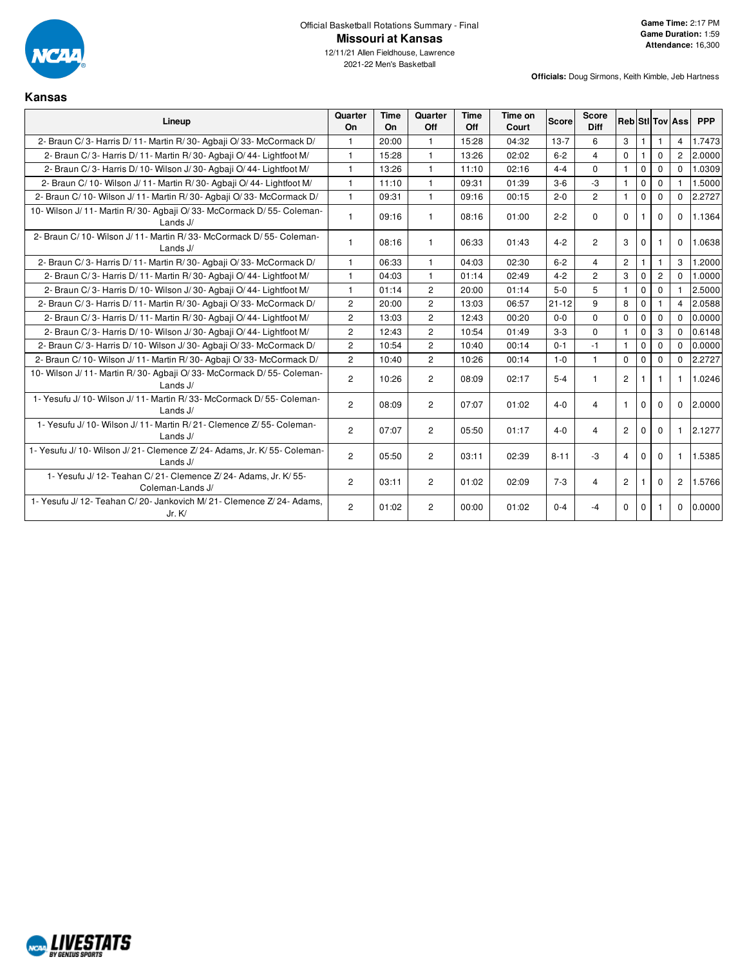

**Kansas**

12/11/21 Allen Fieldhouse, Lawrence 2021-22 Men's Basketball

| Lineup                                                                                | Quarter<br><b>On</b> | <b>Time</b><br>On | Quarter<br>Off | Time<br>Off | Time on<br>Court | <b>Score</b> | Score<br><b>Diff</b> |                |              |              | <b>Reb Sti Tov Ass</b> | <b>PPP</b> |
|---------------------------------------------------------------------------------------|----------------------|-------------------|----------------|-------------|------------------|--------------|----------------------|----------------|--------------|--------------|------------------------|------------|
| 2- Braun C/3- Harris D/11- Martin R/30- Agbaii O/33- McCormack D/                     | $\mathbf{1}$         | 20:00             | $\mathbf{1}$   | 15:28       | 04:32            | $13-7$       | 6                    | 3              | $\mathbf{1}$ | 1            | $\overline{4}$         | 1.7473     |
| 2- Braun C/3- Harris D/11- Martin R/30- Agbaii O/44- Lightfoot M/                     | $\mathbf{1}$         | 15:28             | $\mathbf{1}$   | 13:26       | 02:02            | $6 - 2$      | $\overline{4}$       | $\mathbf 0$    | $\mathbf{1}$ | $\Omega$     | $\overline{c}$         | 2.0000     |
| 2- Braun C/3- Harris D/10- Wilson J/30- Agbaji O/44- Lightfoot M/                     | $\mathbf{1}$         | 13:26             | $\mathbf{1}$   | 11:10       | 02:16            | $4 - 4$      | $\mathbf 0$          | $\mathbf{1}$   | $\mathbf 0$  | $\mathbf 0$  | $\Omega$               | 1.0309     |
| 2- Braun C/ 10- Wilson J/ 11- Martin R/ 30- Agbaji O/ 44- Lightfoot M/                | $\mathbf{1}$         | 11:10             | $\mathbf{1}$   | 09:31       | 01:39            | $3-6$        | $-3$                 | $\mathbf{1}$   | $\mathbf 0$  | $\Omega$     |                        | 1.5000     |
| 2- Braun C/10- Wilson J/11- Martin R/30- Agbaji O/33- McCormack D/                    | $\mathbf{1}$         | 09:31             | $\mathbf{1}$   | 09:16       | 00:15            | $2 - 0$      | $\overline{2}$       | $\mathbf{1}$   | $\mathbf 0$  | $\mathbf 0$  | $\mathbf 0$            | 2.2727     |
| 10- Wilson J/ 11- Martin R/ 30- Agbaji O/ 33- McCormack D/ 55- Coleman-<br>Lands J/   | $\mathbf{1}$         | 09:16             | $\mathbf{1}$   | 08:16       | 01:00            | $2 - 2$      | $\Omega$             | $\Omega$       | -1           | $\Omega$     | $\Omega$               | 1.1364     |
| 2- Braun C/ 10- Wilson J/ 11- Martin R/ 33- McCormack D/ 55- Coleman-<br>Lands J/     | $\mathbf{1}$         | 08:16             | $\mathbf{1}$   | 06:33       | 01:43            | $4 - 2$      | $\overline{c}$       | 3              | $\mathbf{0}$ | 1            | $\Omega$               | 1.0638     |
| 2- Braun C/3- Harris D/11- Martin R/30- Agbaii O/33- McCormack D/                     | $\mathbf{1}$         | 06:33             | $\mathbf{1}$   | 04:03       | 02:30            | $6 - 2$      | $\overline{4}$       | $\mathbf{2}$   | $\mathbf{1}$ | 1            | 3                      | 1.2000     |
| 2- Braun C/3- Harris D/11- Martin R/30- Agbaji O/44- Lightfoot M/                     | $\mathbf{1}$         | 04:03             | $\mathbf{1}$   | 01:14       | 02:49            | $4 - 2$      | $\overline{2}$       | 3              | $\mathbf 0$  | $\mathbf{2}$ | $\Omega$               | 1.0000     |
| 2- Braun C/3- Harris D/10- Wilson J/30- Agbaii O/44- Lightfoot M/                     | 1                    | 01:14             | $\overline{2}$ | 20:00       | 01:14            | $5-0$        | 5                    | $\mathbf{1}$   | $\mathbf{0}$ | $\Omega$     |                        | 2.5000     |
| 2- Braun C/3- Harris D/11- Martin R/30- Agbaii O/33- McCormack D/                     | $\overline{2}$       | 20:00             | $\overline{c}$ | 13:03       | 06:57            | $21 - 12$    | 9                    | 8              | $\mathbf 0$  | 1            | $\overline{4}$         | 2.0588     |
| 2- Braun C/3- Harris D/11- Martin R/30- Agbaii O/44- Lightfoot M/                     | $\overline{2}$       | 13:03             | $\overline{2}$ | 12:43       | 00:20            | $0 - 0$      | $\Omega$             | 0              | $\mathbf 0$  | $\Omega$     | $\Omega$               | 0.0000     |
| 2- Braun C/3- Harris D/10- Wilson J/30- Agbaji O/44- Lightfoot M/                     | $\overline{2}$       | 12:43             | 2              | 10:54       | 01:49            | $3-3$        | $\Omega$             | $\mathbf{1}$   | $\mathbf 0$  | 3            | $\Omega$               | 0.6148     |
| 2- Braun C/3- Harris D/10- Wilson J/30- Agbaii O/33- McCormack D/                     | $\overline{2}$       | 10:54             | $\overline{c}$ | 10:40       | 00:14            | $0 - 1$      | $-1$                 | $\mathbf{1}$   | $\Omega$     | $\Omega$     | $\Omega$               | 0.0000     |
| 2- Braun C/10- Wilson J/11- Martin R/30- Agbaji O/33- McCormack D/                    | $\overline{2}$       | 10:40             | $\overline{2}$ | 10:26       | 00:14            | $1 - 0$      | $\mathbf{1}$         | $\mathbf 0$    | $\mathbf{0}$ | $\Omega$     | $\Omega$               | 2.2727     |
| 10- Wilson J/ 11- Martin R/ 30- Agbaji O/ 33- McCormack D/ 55- Coleman-<br>Lands J/   | $\overline{2}$       | 10:26             | $\overline{2}$ | 08:09       | 02:17            | $5-4$        | $\mathbf{1}$         | $\overline{2}$ | -1           | 1            | $\mathbf{1}$           | 1.0246     |
| 1- Yesufu J/ 10- Wilson J/ 11- Martin R/ 33- McCormack D/ 55- Coleman-<br>Lands J/    | $\overline{2}$       | 08:09             | $\overline{c}$ | 07:07       | 01:02            | $4 - 0$      | 4                    | $\mathbf{1}$   | $\mathbf{0}$ | $\mathbf 0$  | $\mathbf 0$            | 2.0000     |
| 1- Yesufu J/ 10- Wilson J/ 11- Martin R/ 21- Clemence Z/ 55- Coleman-<br>Lands $J/$   | $\overline{2}$       | 07:07             | $\overline{2}$ | 05:50       | 01:17            | $4 - 0$      | 4                    | $\overline{2}$ | $\Omega$     | $\Omega$     | 1                      | 2.1277     |
| 1- Yesufu J/ 10- Wilson J/ 21- Clemence Z/ 24- Adams, Jr. K/ 55- Coleman-<br>Lands J/ | $\overline{2}$       | 05:50             | $\overline{2}$ | 03:11       | 02:39            | $8 - 11$     | $-3$                 | $\overline{4}$ | $\mathbf 0$  | $\Omega$     | $\mathbf{1}$           | 1.5385     |
| 1- Yesufu J/ 12- Teahan C/ 21- Clemence Z/ 24- Adams, Jr. K/ 55-<br>Coleman-Lands J/  | $\overline{2}$       | 03:11             | $\overline{c}$ | 01:02       | 02:09            | $7 - 3$      | 4                    | $\overline{2}$ |              | 0            | $\overline{c}$         | 1.5766     |
| 1- Yesufu J/ 12- Teahan C/ 20- Jankovich M/ 21- Clemence Z/ 24- Adams,<br>Jr. K/      | $\overline{2}$       | 01:02             | $\overline{c}$ | 00:00       | 01:02            | $0 - 4$      | -4                   | $\mathbf 0$    | $\mathbf 0$  |              | $\mathbf 0$            | 0.0000     |

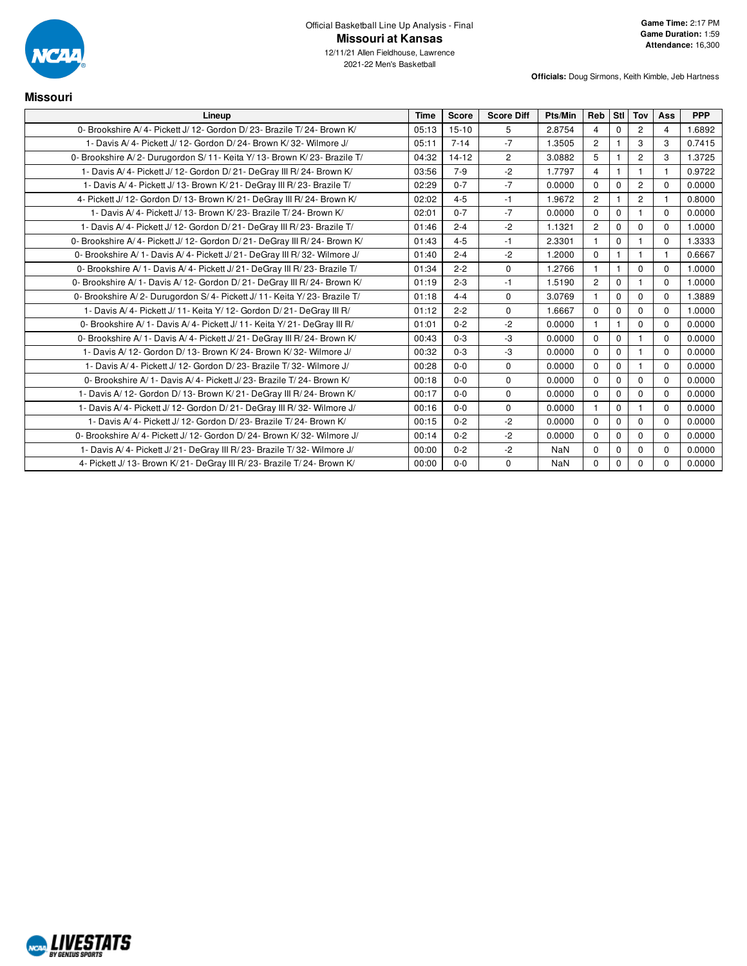

| <b>Missouri</b>                                                             |             |              |                   |         |                |                |                |                         |            |
|-----------------------------------------------------------------------------|-------------|--------------|-------------------|---------|----------------|----------------|----------------|-------------------------|------------|
| Lineup                                                                      | <b>Time</b> | <b>Score</b> | <b>Score Diff</b> | Pts/Min | Reb            | Stl            | Tov            | Ass                     | <b>PPP</b> |
| 0- Brookshire A/4- Pickett J/12- Gordon D/23- Brazile T/24- Brown K/        | 05:13       | $15-10$      | 5                 | 2.8754  | $\overline{4}$ | $\Omega$       | $\overline{2}$ | $\overline{4}$          | 1.6892     |
| 1- Davis A/4- Pickett J/12- Gordon D/24- Brown K/32- Wilmore J/             | 05:11       | $7 - 14$     | $-7$              | 1.3505  | $\overline{2}$ | $\mathbf{1}$   | 3              | 3                       | 0.7415     |
| 0- Brookshire A/2- Durugordon S/11- Keita Y/13- Brown K/23- Brazile T/      | 04:32       | $14 - 12$    | $\overline{2}$    | 3.0882  | 5              |                | $\overline{2}$ | 3                       | 1.3725     |
| 1- Davis A/4- Pickett J/12- Gordon D/21- DeGray III R/24- Brown K/          | 03:56       | $7 - 9$      | $-2$              | 1.7797  | $\overline{4}$ | $\mathbf{1}$   | $\mathbf{1}$   | $\overline{1}$          | 0.9722     |
| 1- Davis A/4- Pickett J/13- Brown K/21- DeGray III R/23- Brazile T/         | 02:29       | $0 - 7$      | $-7$              | 0.0000  | $\Omega$       | $\Omega$       | $\overline{2}$ | $\Omega$                | 0.0000     |
| 4- Pickett J/ 12- Gordon D/ 13- Brown K/ 21- DeGray III R/ 24- Brown K/     | 02:02       | $4 - 5$      | $-1$              | 1.9672  | $\overline{2}$ | $\mathbf 1$    | $\overline{2}$ | $\overline{\mathbf{1}}$ | 0.8000     |
| 1- Davis A/4- Pickett J/13- Brown K/23- Brazile T/24- Brown K/              | 02:01       | $0 - 7$      | $-7$              | 0.0000  | $\Omega$       | $\mathbf 0$    |                | $\Omega$                | 0.0000     |
| 1- Davis A/4- Pickett J/12- Gordon D/21- DeGray III R/23- Brazile T/        | 01:46       | $2 - 4$      | $-2$              | 1.1321  | $\overline{2}$ | $\mathbf 0$    | 0              | $\Omega$                | 1.0000     |
| 0- Brookshire A/4- Pickett J/12- Gordon D/21- DeGray III R/24- Brown K/     | 01:43       | $4 - 5$      | $-1$              | 2.3301  | $\mathbf{1}$   | $\mathbf 0$    | 1              | $\Omega$                | 1.3333     |
| 0- Brookshire A/ 1- Davis A/ 4- Pickett J/ 21- DeGray III R/ 32- Wilmore J/ | 01:40       | $2 - 4$      | $-2$              | 1.2000  | $\mathbf 0$    | $\mathbf{1}$   | 1              | -1                      | 0.6667     |
| 0- Brookshire A/ 1- Davis A/ 4- Pickett J/ 21- DeGray III R/ 23- Brazile T/ | 01:34       | $2 - 2$      | $\mathbf 0$       | 1.2766  |                | $\mathbf{1}$   | 0              | $\Omega$                | 1.0000     |
| 0- Brookshire A/ 1- Davis A/ 12- Gordon D/ 21- DeGray III R/ 24- Brown K/   | 01:19       | $2 - 3$      | $-1$              | 1.5190  | $\overline{c}$ | $\mathbf 0$    | $\overline{1}$ | $\Omega$                | 1.0000     |
| 0- Brookshire A/2- Durugordon S/4- Pickett J/11- Keita Y/23- Brazile T/     | 01:18       | $4 - 4$      | $\mathbf 0$       | 3.0769  | $\mathbf{1}$   | $\mathbf 0$    | 0              | $\mathbf{0}$            | 1.3889     |
| 1- Davis A/4- Pickett J/11- Keita Y/12- Gordon D/21- DeGray III R/          | 01:12       | $2 - 2$      | $\mathbf 0$       | 1.6667  | $\Omega$       | $\Omega$       | $\Omega$       | $\Omega$                | 1.0000     |
| 0- Brookshire A/ 1- Davis A/ 4- Pickett J/ 11- Keita Y/ 21- DeGray III R/   | 01:01       | $0 - 2$      | $-2$              | 0.0000  | $\mathbf{1}$   | $\overline{1}$ | $\Omega$       | $\Omega$                | 0.0000     |
| 0- Brookshire A/ 1- Davis A/ 4- Pickett J/ 21- DeGray III R/ 24- Brown K/   | 00:43       | $0 - 3$      | -3                | 0.0000  | $\Omega$       | $\mathbf 0$    | 1              | $\Omega$                | 0.0000     |
| 1- Davis A/ 12- Gordon D/ 13- Brown K/ 24- Brown K/ 32- Wilmore J/          | 00:32       | $0 - 3$      | $-3$              | 0.0000  | $\Omega$       | $\mathbf 0$    | 1              | $\mathbf{0}$            | 0.0000     |
| 1- Davis A/4- Pickett J/12- Gordon D/23- Brazile T/32- Wilmore J/           | 00:28       | $0 - 0$      | $\mathbf 0$       | 0.0000  | $\Omega$       | $\mathbf 0$    | 1              | $\Omega$                | 0.0000     |
| 0- Brookshire A/1- Davis A/4- Pickett J/23- Brazile T/24- Brown K/          | 00:18       | $0 - 0$      | $\mathbf 0$       | 0.0000  | $\Omega$       | $\mathbf 0$    | 0              | $\Omega$                | 0.0000     |
| 1- Davis A/ 12- Gordon D/ 13- Brown K/ 21- DeGray III R/ 24- Brown K/       | 00:17       | $0 - 0$      | $\mathbf 0$       | 0.0000  | $\Omega$       | $\mathbf 0$    | 0              | $\Omega$                | 0.0000     |
| 1- Davis A/4- Pickett J/12- Gordon D/21- DeGray III R/32- Wilmore J/        | 00:16       | $0-0$        | $\mathbf 0$       | 0.0000  | 1              | 0              | 1              | $\mathbf{0}$            | 0.0000     |
| 1- Davis A/4- Pickett J/12- Gordon D/23- Brazile T/24- Brown K/             | 00:15       | $0 - 2$      | $-2$              | 0.0000  | $\Omega$       | $\mathbf 0$    | $\Omega$       | $\Omega$                | 0.0000     |
| 0- Brookshire A/4- Pickett J/12- Gordon D/24- Brown K/32- Wilmore J/        | 00:14       | $0 - 2$      | $-2$              | 0.0000  | $\mathbf{0}$   | $\mathbf 0$    | 0              | $\Omega$                | 0.0000     |
| 1- Davis A/4- Pickett J/21- DeGray III R/23- Brazile T/32- Wilmore J/       | 00:00       | $0 - 2$      | $-2$              | NaN     | $\Omega$       | $\mathbf 0$    | 0              | $\Omega$                | 0.0000     |
| 4- Pickett J/ 13- Brown K/ 21- DeGray III R/ 23- Brazile T/ 24- Brown K/    | 00:00       | $0-0$        | $\mathbf 0$       | NaN     | $\Omega$       | $\mathbf 0$    | $\Omega$       | $\Omega$                | 0.0000     |